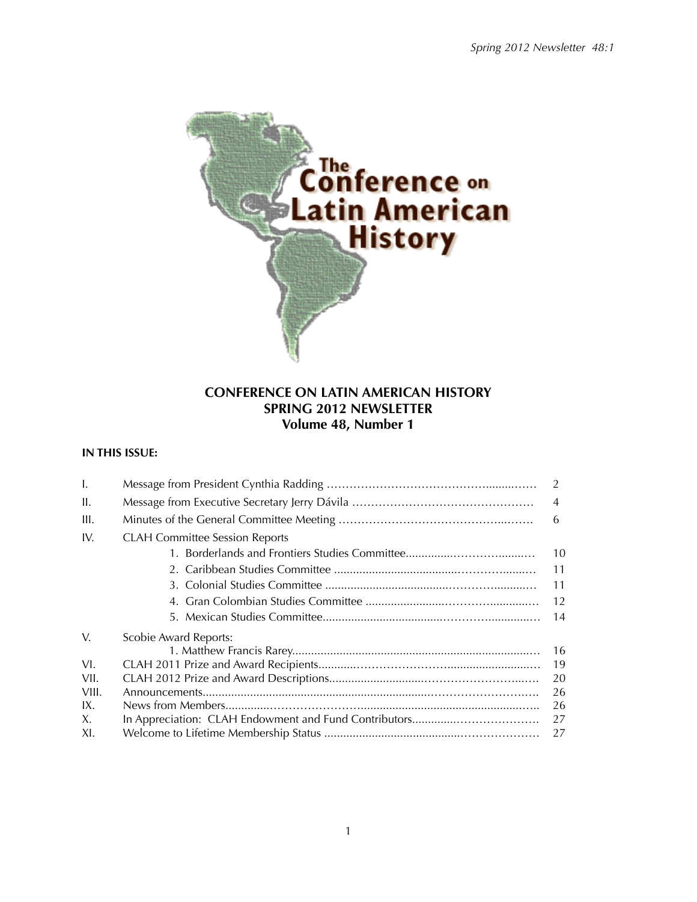

# **CONFERENCE ON LATIN AMERICAN HISTORY SPRING 2012 NEWSLETTER Volume 48, Number 1**

# **IN THIS ISSUE:**

| $\mathbf{I}$ . |                                       | 2              |  |  |
|----------------|---------------------------------------|----------------|--|--|
| H.             |                                       | $\overline{4}$ |  |  |
| III.           |                                       | 6              |  |  |
| IV.            | <b>CLAH Committee Session Reports</b> |                |  |  |
|                |                                       | 10             |  |  |
|                |                                       | 11             |  |  |
|                |                                       | 11             |  |  |
|                |                                       | 12             |  |  |
|                |                                       | 14             |  |  |
| V.             | <b>Scobie Award Reports:</b>          |                |  |  |
|                |                                       | 16             |  |  |
| VI.            |                                       | 19             |  |  |
| VII.           |                                       | 20             |  |  |
| VIII.          | 26                                    |                |  |  |
| IX.            | 26                                    |                |  |  |
| X.             | 27                                    |                |  |  |
| XI.            |                                       | 27             |  |  |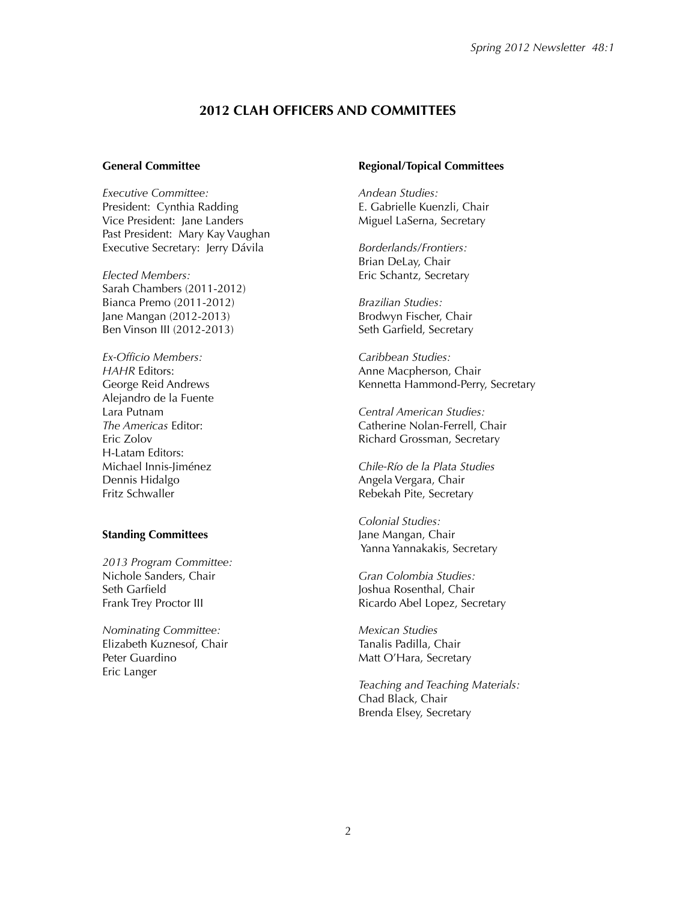## **2012 CLAH OFFICERS AND COMMITTEES**

#### **General Committee**

*Executive Committee:* President: Cynthia Radding Vice President: Jane Landers Past President: Mary Kay Vaughan Executive Secretary: Jerry Dávila

*Elected Members:* Sarah Chambers (2011-2012) Bianca Premo (2011-2012) Jane Mangan (2012-2013) Ben Vinson III (2012-2013)

*Ex-Officio Members: HAHR* Editors: George Reid Andrews Alejandro de la Fuente Lara Putnam *The Americas* Editor: Eric Zolov H-Latam Editors: Michael Innis-Jiménez Dennis Hidalgo Fritz Schwaller

#### **Standing Committees**

*2013 Program Committee:* Nichole Sanders, Chair Seth Garfield Frank Trey Proctor III

*Nominating Committee:* Elizabeth Kuznesof, Chair Peter Guardino Eric Langer

#### **Regional/Topical Committees**

*Andean Studies:* E. Gabrielle Kuenzli, Chair Miguel LaSerna, Secretary

*Borderlands/Frontiers:* Brian DeLay, Chair Eric Schantz, Secretary

*Brazilian Studies:* Brodwyn Fischer, Chair Seth Garfield, Secretary

*Caribbean Studies:* Anne Macpherson, Chair Kennetta Hammond-Perry, Secretary

*Central American Studies:* Catherine Nolan-Ferrell, Chair Richard Grossman, Secretary

*Chile-Río de la Plata Studies* Angela Vergara, Chair Rebekah Pite, Secretary

*Colonial Studies:* Jane Mangan, Chair Yanna Yannakakis, Secretary

*Gran Colombia Studies:* Joshua Rosenthal, Chair Ricardo Abel Lopez, Secretary

*Mexican Studies* Tanalis Padilla, Chair Matt O'Hara, Secretary

*Teaching and Teaching Materials:* Chad Black, Chair Brenda Elsey, Secretary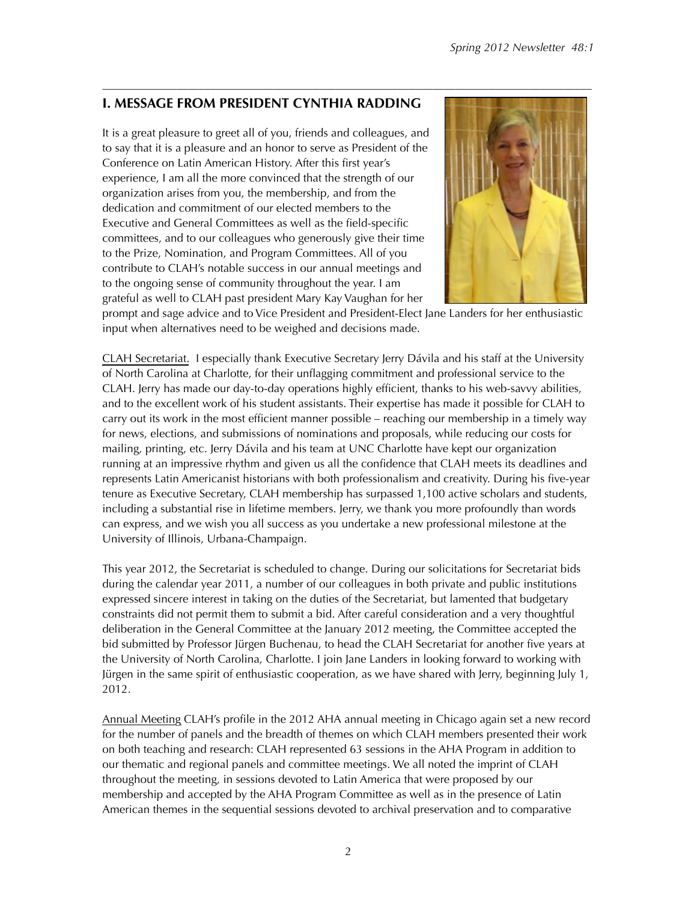# **I. MESSAGE FROM PRESIDENT CYNTHIA RADDING**

It is a great pleasure to greet all of you, friends and colleagues, and to say that it is a pleasure and an honor to serve as President of the Conference on Latin American History. After this first year's experience, I am all the more convinced that the strength of our organization arises from you, the membership, and from the dedication and commitment of our elected members to the Executive and General Committees as well as the field-specific committees, and to our colleagues who generously give their time to the Prize, Nomination, and Program Committees. All of you contribute to CLAH's notable success in our annual meetings and to the ongoing sense of community throughout the year. I am grateful as well to CLAH past president Mary Kay Vaughan for her



prompt and sage advice and to Vice President and President-Elect Jane Landers for her enthusiastic input when alternatives need to be weighed and decisions made.

CLAH Secretariat. I especially thank Executive Secretary Jerry Dávila and his staff at the University of North Carolina at Charlotte, for their unflagging commitment and professional service to the CLAH. Jerry has made our day-to-day operations highly efficient, thanks to his web-savvy abilities, and to the excellent work of his student assistants. Their expertise has made it possible for CLAH to carry out its work in the most efficient manner possible – reaching our membership in a timely way for news, elections, and submissions of nominations and proposals, while reducing our costs for mailing, printing, etc. Jerry Dávila and his team at UNC Charlotte have kept our organization running at an impressive rhythm and given us all the confidence that CLAH meets its deadlines and represents Latin Americanist historians with both professionalism and creativity. During his five-year tenure as Executive Secretary, CLAH membership has surpassed 1,100 active scholars and students, including a substantial rise in lifetime members. Jerry, we thank you more profoundly than words can express, and we wish you all success as you undertake a new professional milestone at the University of Illinois, Urbana-Champaign.

This year 2012, the Secretariat is scheduled to change. During our solicitations for Secretariat bids during the calendar year 2011, a number of our colleagues in both private and public institutions expressed sincere interest in taking on the duties of the Secretariat, but lamented that budgetary constraints did not permit them to submit a bid. After careful consideration and a very thoughtful deliberation in the General Committee at the January 2012 meeting, the Committee accepted the bid submitted by Professor Jürgen Buchenau, to head the CLAH Secretariat for another five years at the University of North Carolina, Charlotte. I join Jane Landers in looking forward to working with Jürgen in the same spirit of enthusiastic cooperation, as we have shared with Jerry, beginning July 1, 2012.

Annual Meeting CLAH's profile in the 2012 AHA annual meeting in Chicago again set a new record for the number of panels and the breadth of themes on which CLAH members presented their work on both teaching and research: CLAH represented 63 sessions in the AHA Program in addition to our thematic and regional panels and committee meetings. We all noted the imprint of CLAH throughout the meeting, in sessions devoted to Latin America that were proposed by our membership and accepted by the AHA Program Committee as well as in the presence of Latin American themes in the sequential sessions devoted to archival preservation and to comparative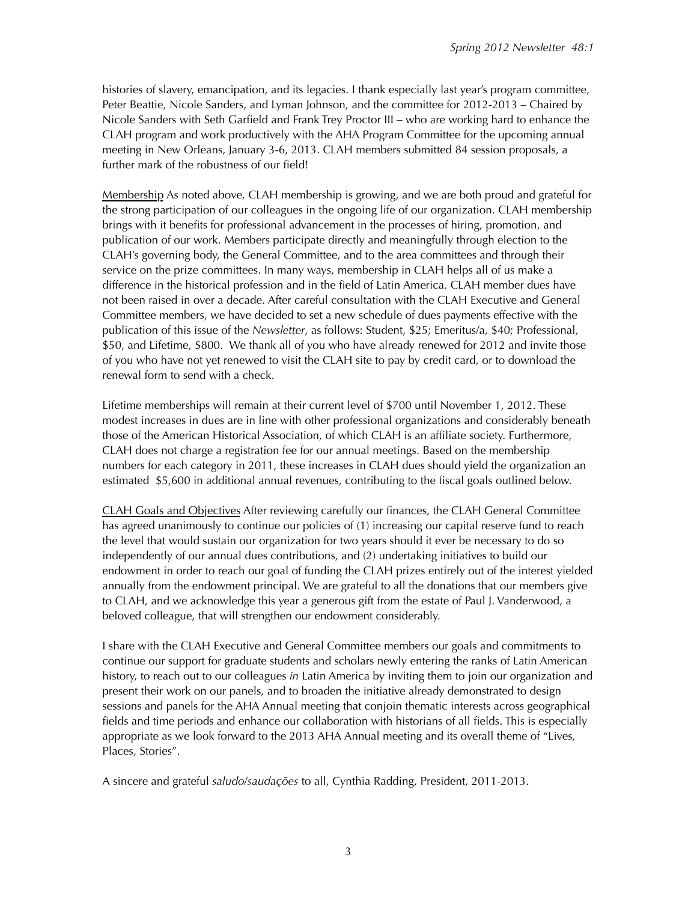histories of slavery, emancipation, and its legacies. I thank especially last year's program committee, Peter Beattie, Nicole Sanders, and Lyman Johnson, and the committee for 2012-2013 – Chaired by Nicole Sanders with Seth Garfield and Frank Trey Proctor III – who are working hard to enhance the CLAH program and work productively with the AHA Program Committee for the upcoming annual meeting in New Orleans, January 3-6, 2013. CLAH members submitted 84 session proposals, a further mark of the robustness of our field!

Membership As noted above, CLAH membership is growing, and we are both proud and grateful for the strong participation of our colleagues in the ongoing life of our organization. CLAH membership brings with it benefits for professional advancement in the processes of hiring, promotion, and publication of our work. Members participate directly and meaningfully through election to the CLAH's governing body, the General Committee, and to the area committees and through their service on the prize committees. In many ways, membership in CLAH helps all of us make a difference in the historical profession and in the field of Latin America. CLAH member dues have not been raised in over a decade. After careful consultation with the CLAH Executive and General Committee members, we have decided to set a new schedule of dues payments effective with the publication of this issue of the *Newsletter*, as follows: Student, \$25; Emeritus/a, \$40; Professional, \$50, and Lifetime, \$800. We thank all of you who have already renewed for 2012 and invite those of you who have not yet renewed to visit the CLAH site to pay by credit card, or to download the renewal form to send with a check.

Lifetime memberships will remain at their current level of \$700 until November 1, 2012. These modest increases in dues are in line with other professional organizations and considerably beneath those of the American Historical Association, of which CLAH is an affiliate society. Furthermore, CLAH does not charge a registration fee for our annual meetings. Based on the membership numbers for each category in 2011, these increases in CLAH dues should yield the organization an estimated \$5,600 in additional annual revenues, contributing to the fiscal goals outlined below.

CLAH Goals and Objectives After reviewing carefully our finances, the CLAH General Committee has agreed unanimously to continue our policies of (1) increasing our capital reserve fund to reach the level that would sustain our organization for two years should it ever be necessary to do so independently of our annual dues contributions, and (2) undertaking initiatives to build our endowment in order to reach our goal of funding the CLAH prizes entirely out of the interest yielded annually from the endowment principal. We are grateful to all the donations that our members give to CLAH, and we acknowledge this year a generous gift from the estate of Paul J. Vanderwood, a beloved colleague, that will strengthen our endowment considerably.

I share with the CLAH Executive and General Committee members our goals and commitments to continue our support for graduate students and scholars newly entering the ranks of Latin American history, to reach out to our colleagues *in* Latin America by inviting them to join our organization and present their work on our panels, and to broaden the initiative already demonstrated to design sessions and panels for the AHA Annual meeting that conjoin thematic interests across geographical fields and time periods and enhance our collaboration with historians of all fields. This is especially appropriate as we look forward to the 2013 AHA Annual meeting and its overall theme of "Lives, Places, Stories".

A sincere and grateful *saludo*/*saudações* to all, Cynthia Radding, President, 2011-2013.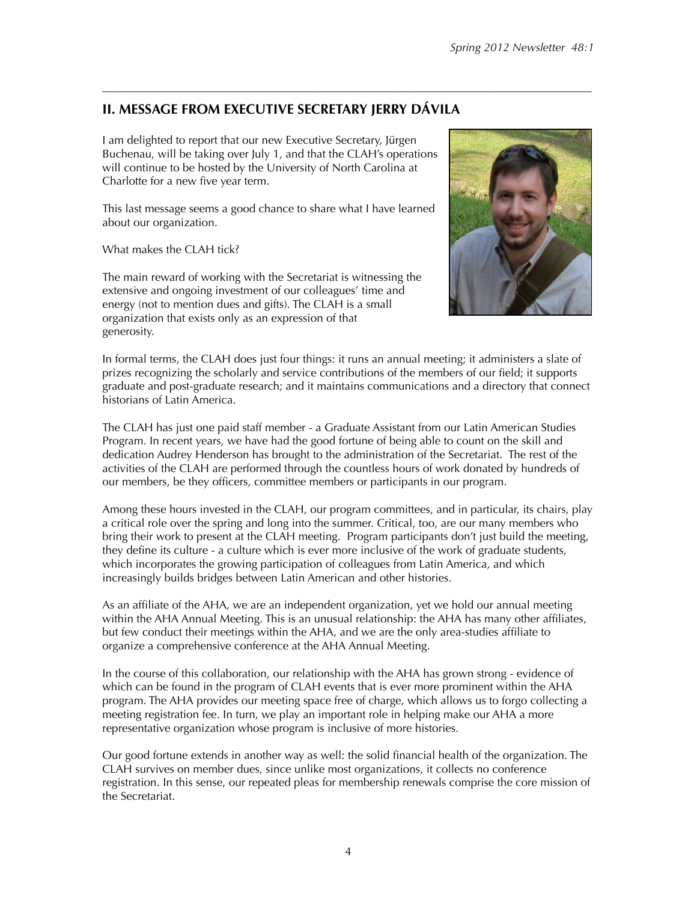# **II. MESSAGE FROM EXECUTIVE SECRETARY JERRY DÁVILA**

I am delighted to report that our new Executive Secretary, Jürgen Buchenau, will be taking over July 1, and that the CLAH's operations will continue to be hosted by the University of North Carolina at Charlotte for a new five year term.

This last message seems a good chance to share what I have learned about our organization.

What makes the CLAH tick?

The main reward of working with the Secretariat is witnessing the extensive and ongoing investment of our colleagues' time and energy (not to mention dues and gifts). The CLAH is a small organization that exists only as an expression of that generosity.



In formal terms, the CLAH does just four things: it runs an annual meeting; it administers a slate of prizes recognizing the scholarly and service contributions of the members of our field; it supports graduate and post-graduate research; and it maintains communications and a directory that connect historians of Latin America.

––––––––––––––––––––––––––––––––––––––––––––––––––––––––––––––––––––––––––––––––––––––

The CLAH has just one paid staff member - a Graduate Assistant from our Latin American Studies Program. In recent years, we have had the good fortune of being able to count on the skill and dedication Audrey Henderson has brought to the administration of the Secretariat. The rest of the activities of the CLAH are performed through the countless hours of work donated by hundreds of our members, be they officers, committee members or participants in our program.

Among these hours invested in the CLAH, our program committees, and in particular, its chairs, play a critical role over the spring and long into the summer. Critical, too, are our many members who bring their work to present at the CLAH meeting. Program participants don't just build the meeting, they define its culture - a culture which is ever more inclusive of the work of graduate students, which incorporates the growing participation of colleagues from Latin America, and which increasingly builds bridges between Latin American and other histories.

As an affiliate of the AHA, we are an independent organization, yet we hold our annual meeting within the AHA Annual Meeting. This is an unusual relationship: the AHA has many other affiliates, but few conduct their meetings within the AHA, and we are the only area-studies affiliate to organize a comprehensive conference at the AHA Annual Meeting.

In the course of this collaboration, our relationship with the AHA has grown strong - evidence of which can be found in the program of CLAH events that is ever more prominent within the AHA program. The AHA provides our meeting space free of charge, which allows us to forgo collecting a meeting registration fee. In turn, we play an important role in helping make our AHA a more representative organization whose program is inclusive of more histories.

Our good fortune extends in another way as well: the solid financial health of the organization. The CLAH survives on member dues, since unlike most organizations, it collects no conference registration. In this sense, our repeated pleas for membership renewals comprise the core mission of the Secretariat.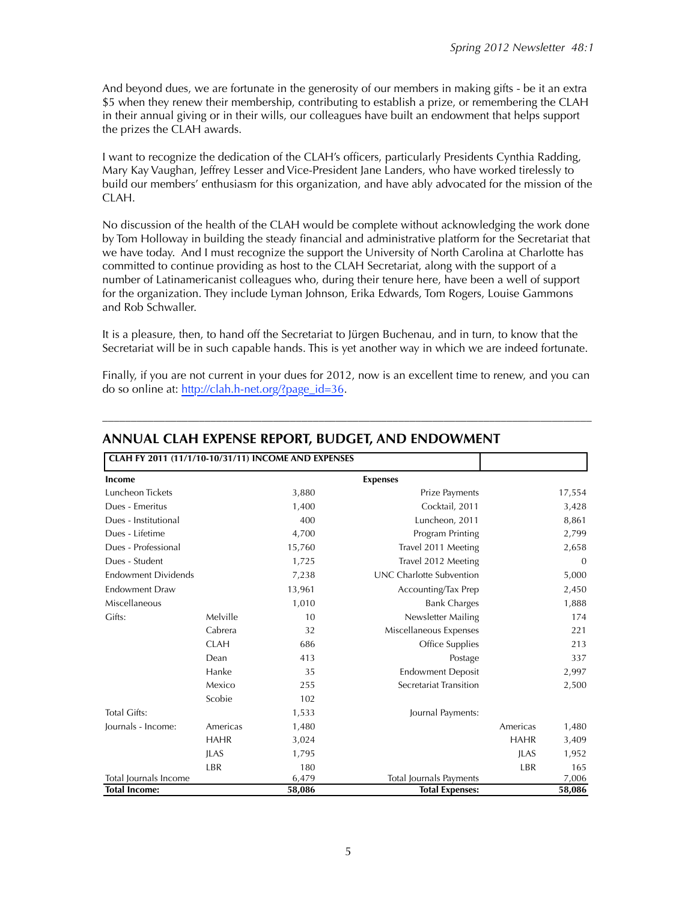And beyond dues, we are fortunate in the generosity of our members in making gifts - be it an extra \$5 when they renew their membership, contributing to establish a prize, or remembering the CLAH in their annual giving or in their wills, our colleagues have built an endowment that helps support the prizes the CLAH awards.

I want to recognize the dedication of the CLAH's officers, particularly Presidents Cynthia Radding, Mary Kay Vaughan, Jeffrey Lesser and Vice-President Jane Landers, who have worked tirelessly to build our members' enthusiasm for this organization, and have ably advocated for the mission of the CLAH.

No discussion of the health of the CLAH would be complete without acknowledging the work done by Tom Holloway in building the steady financial and administrative platform for the Secretariat that we have today. And I must recognize the support the University of North Carolina at Charlotte has committed to continue providing as host to the CLAH Secretariat, along with the support of a number of Latinamericanist colleagues who, during their tenure here, have been a well of support for the organization. They include Lyman Johnson, Erika Edwards, Tom Rogers, Louise Gammons and Rob Schwaller.

It is a pleasure, then, to hand off the Secretariat to Jürgen Buchenau, and in turn, to know that the Secretariat will be in such capable hands. This is yet another way in which we are indeed fortunate.

Finally, if you are not current in your dues for 2012, now is an excellent time to renew, and you can do so online at: [http://clah.h-net.org/?page\\_id=36](http://clah.h-net.org/?page_id=36).

––––––––––––––––––––––––––––––––––––––––––––––––––––––––––––––––––––––––––––––––––––––

| CLAH FY 2011 (11/1/10-10/31/11) INCOME AND EXPENSES |                |        |                                 |                |        |
|-----------------------------------------------------|----------------|--------|---------------------------------|----------------|--------|
| Income                                              |                |        | <b>Expenses</b>                 |                |        |
| Luncheon Tickets                                    |                | 3,880  | Prize Payments                  | 17,554         |        |
| Dues - Emeritus                                     |                | 1,400  | Cocktail, 2011                  | 3,428          |        |
| Dues - Institutional                                |                | 400    | Luncheon, 2011                  | 8,861          |        |
| Dues - Lifetime                                     |                | 4,700  | Program Printing                | 2,799          |        |
| Dues - Professional                                 |                | 15,760 | Travel 2011 Meeting             | 2,658          |        |
| Dues - Student                                      |                | 1,725  | Travel 2012 Meeting             | $\overline{0}$ |        |
| <b>Endowment Dividends</b>                          |                | 7,238  | <b>UNC Charlotte Subvention</b> | 5,000          |        |
| <b>Endowment Draw</b>                               |                | 13,961 | Accounting/Tax Prep             | 2,450          |        |
| Miscellaneous                                       |                | 1,010  | <b>Bank Charges</b>             |                | 1,888  |
| Gifts:                                              | Melville<br>10 |        | Newsletter Mailing              |                | 174    |
|                                                     | Cabrera        | 32     | Miscellaneous Expenses          |                | 221    |
|                                                     | <b>CLAH</b>    | 686    | Office Supplies                 |                | 213    |
|                                                     | Dean           | 413    | Postage                         |                | 337    |
|                                                     | Hanke          | 35     | <b>Endowment Deposit</b>        |                | 2,997  |
|                                                     | Mexico         | 255    | Secretariat Transition          |                | 2,500  |
|                                                     | Scobie         | 102    |                                 |                |        |
| <b>Total Gifts:</b>                                 |                | 1,533  | Journal Payments:               |                |        |
| Journals - Income:                                  | Americas       | 1,480  |                                 | Americas       | 1,480  |
|                                                     | <b>HAHR</b>    | 3,024  |                                 | <b>HAHR</b>    | 3,409  |
|                                                     | <b>ILAS</b>    | 1,795  |                                 | <b>ILAS</b>    | 1,952  |
|                                                     | LBR            | 180    |                                 | LBR            | 165    |
| Total Journals Income                               |                | 6,479  | <b>Total Journals Payments</b>  |                | 7,006  |
| <b>Total Income:</b>                                |                | 58,086 | <b>Total Expenses:</b>          |                | 58,086 |

# **ANNUAL CLAH EXPENSE REPORT, BUDGET, AND ENDOWMENT**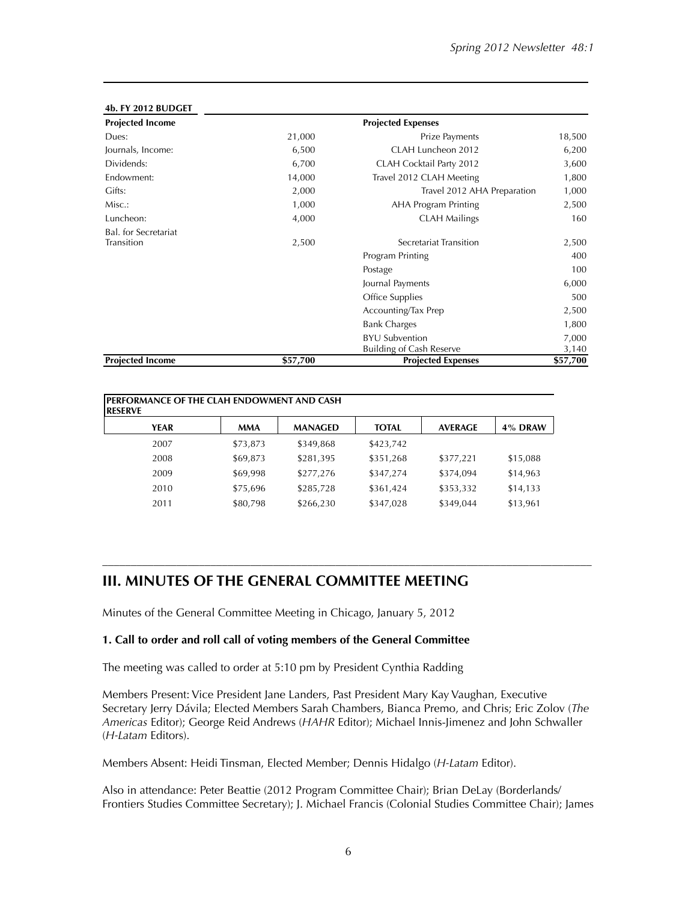| <b>Projected Income</b>                   |          | <b>Projected Expenses</b>                                |                |
|-------------------------------------------|----------|----------------------------------------------------------|----------------|
| Dues:                                     | 21,000   | Prize Payments                                           | 18,500         |
| Journals, Income:                         | 6,500    | CLAH Luncheon 2012                                       | 6,200          |
| Dividends:                                | 6,700    | CLAH Cocktail Party 2012                                 | 3,600          |
| Endowment:                                | 14,000   | Travel 2012 CLAH Meeting                                 |                |
| Gifts:                                    | 2,000    | Travel 2012 AHA Preparation                              | 1,000          |
| Misc.:                                    | 1,000    | <b>AHA Program Printing</b>                              | 2,500          |
| Luncheon:                                 | 4,000    | <b>CLAH Mailings</b>                                     | 160            |
| <b>Bal.</b> for Secretariat<br>Transition | 2,500    | Secretariat Transition                                   | 2,500          |
|                                           |          | Program Printing                                         | 400            |
|                                           |          | Postage                                                  | 100            |
|                                           |          | Journal Payments                                         | 6,000          |
|                                           |          | Office Supplies                                          | 500            |
|                                           |          | Accounting/Tax Prep                                      | 2,500          |
|                                           |          | <b>Bank Charges</b>                                      | 1,800          |
|                                           |          | <b>BYU Subvention</b><br><b>Building of Cash Reserve</b> | 7,000<br>3,140 |
| <b>Projected Income</b>                   | \$57,700 | <b>Projected Expenses</b>                                | \$57,700       |

#### **4b. FY 2012 BUDGET**

| <b>IPERFORMANCE OF THE CLAH ENDOWMENT AND CASH</b><br><b>IRESERVE</b> |            |                |              |                |          |
|-----------------------------------------------------------------------|------------|----------------|--------------|----------------|----------|
| <b>YEAR</b>                                                           | <b>MMA</b> | <b>MANAGED</b> | <b>TOTAL</b> | <b>AVERAGE</b> | 4% DRAW  |
| 2007                                                                  | \$73,873   | \$349,868      | \$423,742    |                |          |
| 2008                                                                  | \$69,873   | \$281,395      | \$351,268    | \$377,221      | \$15,088 |
| 2009                                                                  | \$69,998   | \$277,276      | \$347,274    | \$374,094      | \$14,963 |
| 2010                                                                  | \$75,696   | \$285,728      | \$361,424    | \$353,332      | \$14,133 |
| 2011                                                                  | \$80,798   | \$266,230      | \$347,028    | \$349,044      | \$13,961 |

# **III. MINUTES OF THE GENERAL COMMITTEE MEETING**

Minutes of the General Committee Meeting in Chicago, January 5, 2012

#### **1. Call to order and roll call of voting members of the General Committee**

The meeting was called to order at 5:10 pm by President Cynthia Radding

Members Present: Vice President Jane Landers, Past President Mary Kay Vaughan, Executive Secretary Jerry Dávila; Elected Members Sarah Chambers, Bianca Premo, and Chris; Eric Zolov (*The Americas* Editor); George Reid Andrews (*HAHR* Editor); Michael Innis-Jimenez and John Schwaller (*H-Latam* Editors).

––––––––––––––––––––––––––––––––––––––––––––––––––––––––––––––––––––––––––––––––––––––

Members Absent: Heidi Tinsman, Elected Member; Dennis Hidalgo (*H-Latam* Editor).

Also in attendance: Peter Beattie (2012 Program Committee Chair); Brian DeLay (Borderlands/ Frontiers Studies Committee Secretary); J. Michael Francis (Colonial Studies Committee Chair); James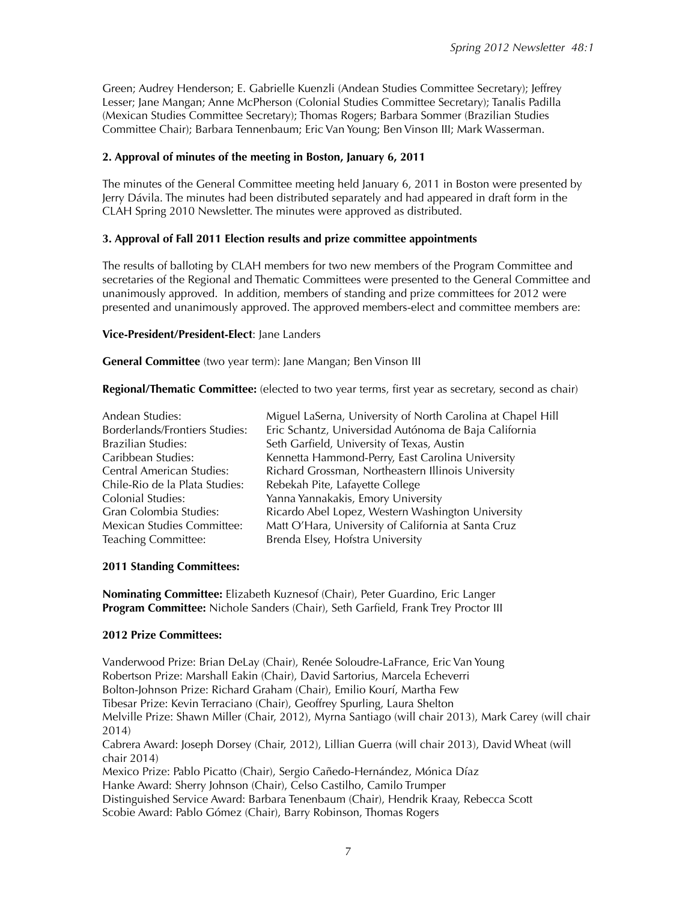Green; Audrey Henderson; E. Gabrielle Kuenzli (Andean Studies Committee Secretary); Jeffrey Lesser; Jane Mangan; Anne McPherson (Colonial Studies Committee Secretary); Tanalis Padilla (Mexican Studies Committee Secretary); Thomas Rogers; Barbara Sommer (Brazilian Studies Committee Chair); Barbara Tennenbaum; Eric Van Young; Ben Vinson III; Mark Wasserman.

### **2. Approval of minutes of the meeting in Boston, January 6, 2011**

The minutes of the General Committee meeting held January 6, 2011 in Boston were presented by Jerry Dávila. The minutes had been distributed separately and had appeared in draft form in the CLAH Spring 2010 Newsletter. The minutes were approved as distributed.

## **3. Approval of Fall 2011 Election results and prize committee appointments**

The results of balloting by CLAH members for two new members of the Program Committee and secretaries of the Regional and Thematic Committees were presented to the General Committee and unanimously approved. In addition, members of standing and prize committees for 2012 were presented and unanimously approved. The approved members-elect and committee members are:

#### **Vice-President/President-Elect**: Jane Landers

**General Committee** (two year term): Jane Mangan; Ben Vinson III

**Regional/Thematic Committee:** (elected to two year terms, first year as secretary, second as chair)

| Miguel LaSerna, University of North Carolina at Chapel Hill |
|-------------------------------------------------------------|
| Eric Schantz, Universidad Autónoma de Baja California       |
| Seth Garfield, University of Texas, Austin                  |
| Kennetta Hammond-Perry, East Carolina University            |
| Richard Grossman, Northeastern Illinois University          |
| Rebekah Pite, Lafayette College                             |
| Yanna Yannakakis, Emory University                          |
| Ricardo Abel Lopez, Western Washington University           |
| Matt O'Hara, University of California at Santa Cruz         |
| Brenda Elsey, Hofstra University                            |
|                                                             |

#### **2011 Standing Committees:**

**Nominating Committee:** Elizabeth Kuznesof (Chair), Peter Guardino, Eric Langer **Program Committee:** Nichole Sanders (Chair), Seth Garfield, Frank Trey Proctor III

## **2012 Prize Committees:**

Vanderwood Prize: Brian DeLay (Chair), Renée Soloudre-LaFrance, Eric Van Young Robertson Prize: Marshall Eakin (Chair), David Sartorius, Marcela Echeverri Bolton-Johnson Prize: Richard Graham (Chair), Emilio Kourí, Martha Few Tibesar Prize: Kevin Terraciano (Chair), Geoffrey Spurling, Laura Shelton Melville Prize: Shawn Miller (Chair, 2012), Myrna Santiago (will chair 2013), Mark Carey (will chair 2014) Cabrera Award: Joseph Dorsey (Chair, 2012), Lillian Guerra (will chair 2013), David Wheat (will chair 2014) Mexico Prize: Pablo Picatto (Chair), Sergio Cañedo-Hernández, Mónica Díaz Hanke Award: Sherry Johnson (Chair), Celso Castilho, Camilo Trumper Distinguished Service Award: Barbara Tenenbaum (Chair), Hendrik Kraay, Rebecca Scott Scobie Award: Pablo Gómez (Chair), Barry Robinson, Thomas Rogers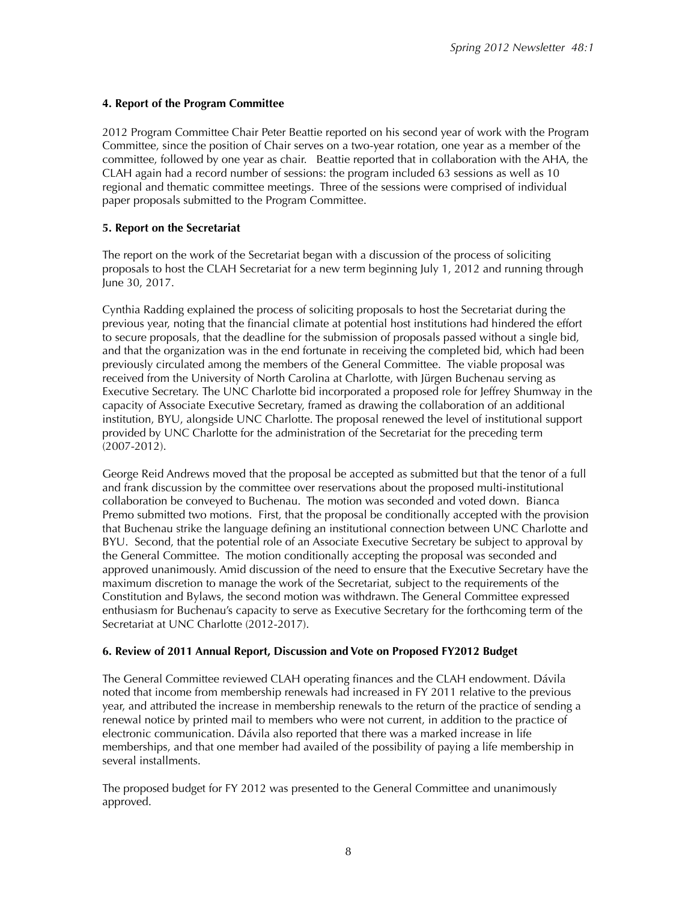## **4. Report of the Program Committee**

2012 Program Committee Chair Peter Beattie reported on his second year of work with the Program Committee, since the position of Chair serves on a two-year rotation, one year as a member of the committee, followed by one year as chair. Beattie reported that in collaboration with the AHA, the CLAH again had a record number of sessions: the program included 63 sessions as well as 10 regional and thematic committee meetings. Three of the sessions were comprised of individual paper proposals submitted to the Program Committee.

## **5. Report on the Secretariat**

The report on the work of the Secretariat began with a discussion of the process of soliciting proposals to host the CLAH Secretariat for a new term beginning July 1, 2012 and running through June 30, 2017.

Cynthia Radding explained the process of soliciting proposals to host the Secretariat during the previous year, noting that the financial climate at potential host institutions had hindered the effort to secure proposals, that the deadline for the submission of proposals passed without a single bid, and that the organization was in the end fortunate in receiving the completed bid, which had been previously circulated among the members of the General Committee. The viable proposal was received from the University of North Carolina at Charlotte, with Jürgen Buchenau serving as Executive Secretary. The UNC Charlotte bid incorporated a proposed role for Jeffrey Shumway in the capacity of Associate Executive Secretary, framed as drawing the collaboration of an additional institution, BYU, alongside UNC Charlotte. The proposal renewed the level of institutional support provided by UNC Charlotte for the administration of the Secretariat for the preceding term (2007-2012).

George Reid Andrews moved that the proposal be accepted as submitted but that the tenor of a full and frank discussion by the committee over reservations about the proposed multi-institutional collaboration be conveyed to Buchenau. The motion was seconded and voted down. Bianca Premo submitted two motions. First, that the proposal be conditionally accepted with the provision that Buchenau strike the language defining an institutional connection between UNC Charlotte and BYU. Second, that the potential role of an Associate Executive Secretary be subject to approval by the General Committee. The motion conditionally accepting the proposal was seconded and approved unanimously. Amid discussion of the need to ensure that the Executive Secretary have the maximum discretion to manage the work of the Secretariat, subject to the requirements of the Constitution and Bylaws, the second motion was withdrawn. The General Committee expressed enthusiasm for Buchenau's capacity to serve as Executive Secretary for the forthcoming term of the Secretariat at UNC Charlotte (2012-2017).

## **6. Review of 2011 Annual Report, Discussion and Vote on Proposed FY2012 Budget**

The General Committee reviewed CLAH operating finances and the CLAH endowment. Dávila noted that income from membership renewals had increased in FY 2011 relative to the previous year, and attributed the increase in membership renewals to the return of the practice of sending a renewal notice by printed mail to members who were not current, in addition to the practice of electronic communication. Dávila also reported that there was a marked increase in life memberships, and that one member had availed of the possibility of paying a life membership in several installments.

The proposed budget for FY 2012 was presented to the General Committee and unanimously approved.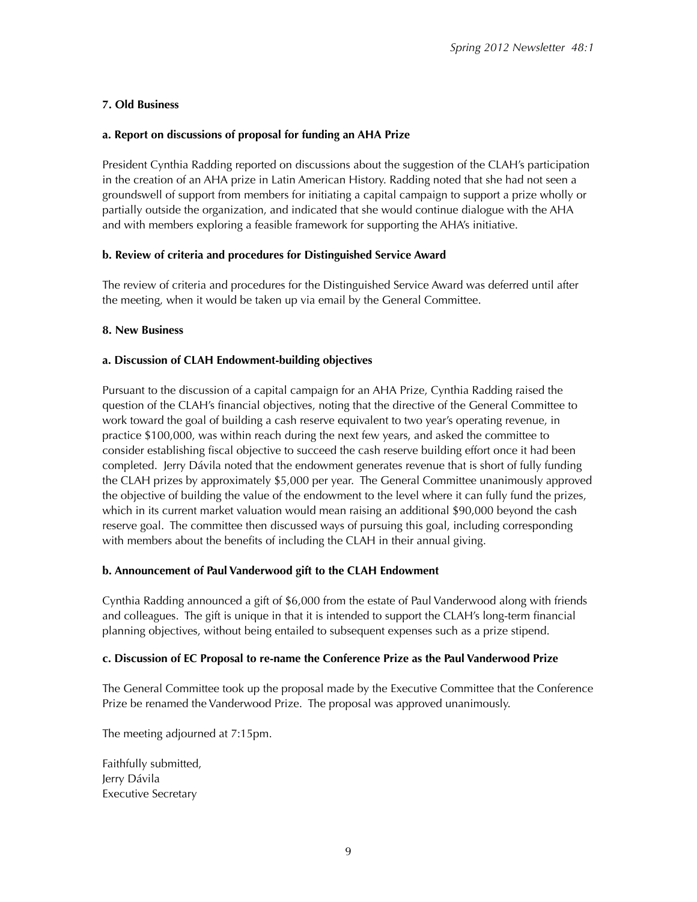# **7. Old Business**

# **a. Report on discussions of proposal for funding an AHA Prize**

President Cynthia Radding reported on discussions about the suggestion of the CLAH's participation in the creation of an AHA prize in Latin American History. Radding noted that she had not seen a groundswell of support from members for initiating a capital campaign to support a prize wholly or partially outside the organization, and indicated that she would continue dialogue with the AHA and with members exploring a feasible framework for supporting the AHA's initiative.

# **b. Review of criteria and procedures for Distinguished Service Award**

The review of criteria and procedures for the Distinguished Service Award was deferred until after the meeting, when it would be taken up via email by the General Committee.

# **8. New Business**

# **a. Discussion of CLAH Endowment-building objectives**

Pursuant to the discussion of a capital campaign for an AHA Prize, Cynthia Radding raised the question of the CLAH's financial objectives, noting that the directive of the General Committee to work toward the goal of building a cash reserve equivalent to two year's operating revenue, in practice \$100,000, was within reach during the next few years, and asked the committee to consider establishing fiscal objective to succeed the cash reserve building effort once it had been completed. Jerry Dávila noted that the endowment generates revenue that is short of fully funding the CLAH prizes by approximately \$5,000 per year. The General Committee unanimously approved the objective of building the value of the endowment to the level where it can fully fund the prizes, which in its current market valuation would mean raising an additional \$90,000 beyond the cash reserve goal. The committee then discussed ways of pursuing this goal, including corresponding with members about the benefits of including the CLAH in their annual giving.

## **b. Announcement of Paul Vanderwood gift to the CLAH Endowment**

Cynthia Radding announced a gift of \$6,000 from the estate of Paul Vanderwood along with friends and colleagues. The gift is unique in that it is intended to support the CLAH's long-term financial planning objectives, without being entailed to subsequent expenses such as a prize stipend.

## **c. Discussion of EC Proposal to re-name the Conference Prize as the Paul Vanderwood Prize**

The General Committee took up the proposal made by the Executive Committee that the Conference Prize be renamed the Vanderwood Prize. The proposal was approved unanimously.

The meeting adjourned at 7:15pm.

Faithfully submitted, Jerry Dávila Executive Secretary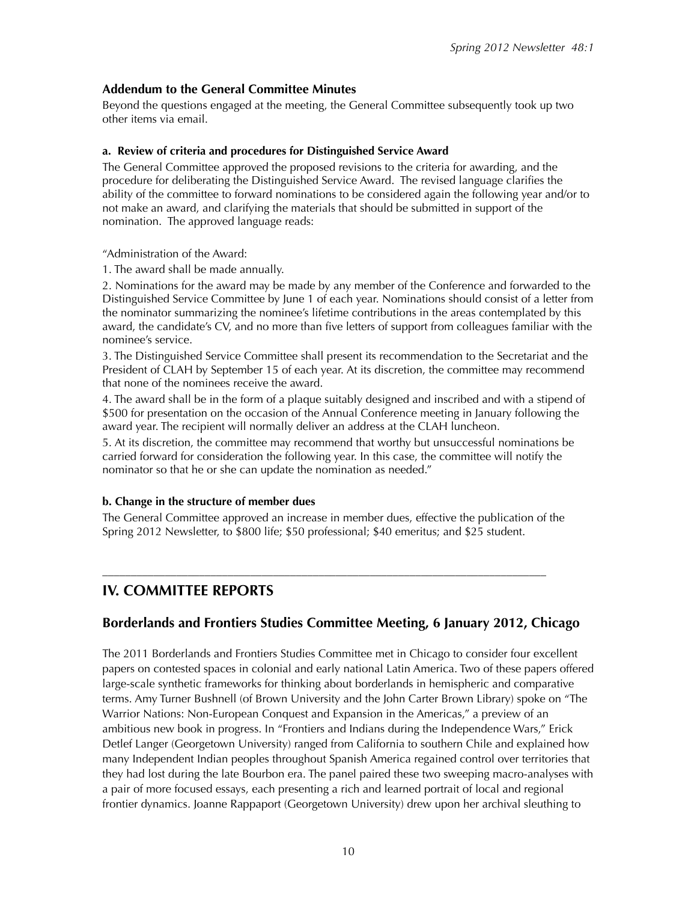# **Addendum to the General Committee Minutes**

Beyond the questions engaged at the meeting, the General Committee subsequently took up two other items via email.

### **a. Review of criteria and procedures for Distinguished Service Award**

The General Committee approved the proposed revisions to the criteria for awarding, and the procedure for deliberating the Distinguished Service Award. The revised language clarifies the ability of the committee to forward nominations to be considered again the following year and/or to not make an award, and clarifying the materials that should be submitted in support of the nomination. The approved language reads:

"Administration of the Award:

1. The award shall be made annually.

2. Nominations for the award may be made by any member of the Conference and forwarded to the Distinguished Service Committee by June 1 of each year. Nominations should consist of a letter from the nominator summarizing the nominee's lifetime contributions in the areas contemplated by this award, the candidate's CV, and no more than five letters of support from colleagues familiar with the nominee's service.

3. The Distinguished Service Committee shall present its recommendation to the Secretariat and the President of CLAH by September 15 of each year. At its discretion, the committee may recommend that none of the nominees receive the award.

4. The award shall be in the form of a plaque suitably designed and inscribed and with a stipend of \$500 for presentation on the occasion of the Annual Conference meeting in January following the award year. The recipient will normally deliver an address at the CLAH luncheon.

5. At its discretion, the committee may recommend that worthy but unsuccessful nominations be carried forward for consideration the following year. In this case, the committee will notify the nominator so that he or she can update the nomination as needed."

## **b. Change in the structure of member dues**

The General Committee approved an increase in member dues, effective the publication of the Spring 2012 Newsletter, to \$800 life; \$50 professional; \$40 emeritus; and \$25 student.

––––––––––––––––––––––––––––––––––––––––––––––––––––––––––––––––––––––––––––––

# **IV. COMMITTEE REPORTS**

# **Borderlands and Frontiers Studies Committee Meeting, 6 January 2012, Chicago**

The 2011 Borderlands and Frontiers Studies Committee met in Chicago to consider four excellent papers on contested spaces in colonial and early national Latin America. Two of these papers offered large-scale synthetic frameworks for thinking about borderlands in hemispheric and comparative terms. Amy Turner Bushnell (of Brown University and the John Carter Brown Library) spoke on "The Warrior Nations: Non-European Conquest and Expansion in the Americas," a preview of an ambitious new book in progress. In "Frontiers and Indians during the Independence Wars," Erick Detlef Langer (Georgetown University) ranged from California to southern Chile and explained how many Independent Indian peoples throughout Spanish America regained control over territories that they had lost during the late Bourbon era. The panel paired these two sweeping macro-analyses with a pair of more focused essays, each presenting a rich and learned portrait of local and regional frontier dynamics. Joanne Rappaport (Georgetown University) drew upon her archival sleuthing to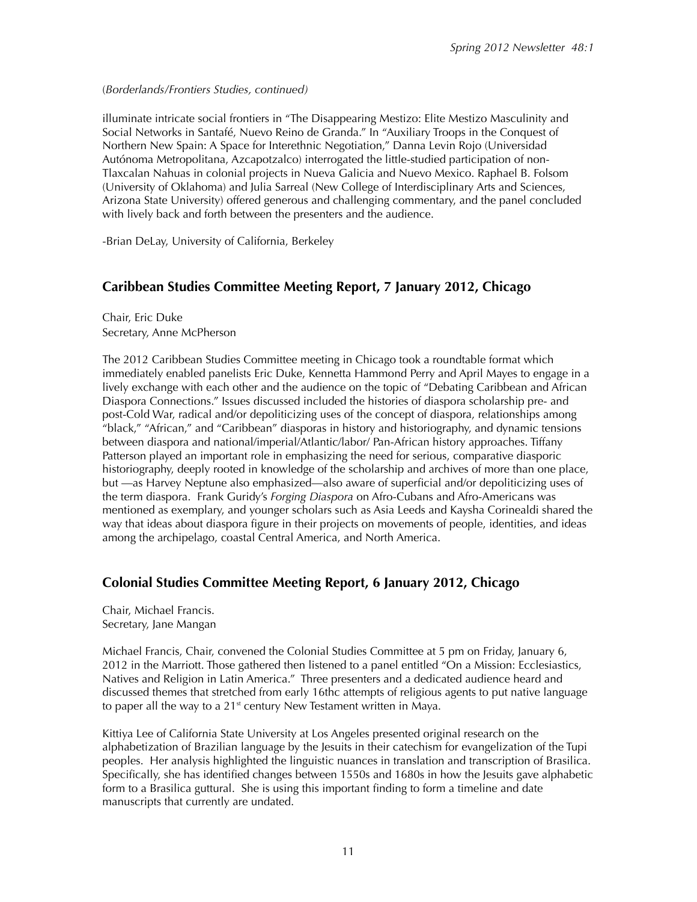### (*Borderlands/Frontiers Studies, continued)*

illuminate intricate social frontiers in "The Disappearing Mestizo: Elite Mestizo Masculinity and Social Networks in Santafé, Nuevo Reino de Granda." In "Auxiliary Troops in the Conquest of Northern New Spain: A Space for Interethnic Negotiation," Danna Levin Rojo (Universidad Autónoma Metropolitana, Azcapotzalco) interrogated the little-studied participation of non-Tlaxcalan Nahuas in colonial projects in Nueva Galicia and Nuevo Mexico. Raphael B. Folsom (University of Oklahoma) and Julia Sarreal (New College of Interdisciplinary Arts and Sciences, Arizona State University) offered generous and challenging commentary, and the panel concluded with lively back and forth between the presenters and the audience.

-Brian DeLay, University of California, Berkeley

# **Caribbean Studies Committee Meeting Report, 7 January 2012, Chicago**

Chair, Eric Duke Secretary, Anne McPherson

The 2012 Caribbean Studies Committee meeting in Chicago took a roundtable format which immediately enabled panelists Eric Duke, Kennetta Hammond Perry and April Mayes to engage in a lively exchange with each other and the audience on the topic of "Debating Caribbean and African Diaspora Connections." Issues discussed included the histories of diaspora scholarship pre- and post-Cold War, radical and/or depoliticizing uses of the concept of diaspora, relationships among "black," "African," and "Caribbean" diasporas in history and historiography, and dynamic tensions between diaspora and national/imperial/Atlantic/labor/ Pan-African history approaches. Tiffany Patterson played an important role in emphasizing the need for serious, comparative diasporic historiography, deeply rooted in knowledge of the scholarship and archives of more than one place, but —as Harvey Neptune also emphasized—also aware of superficial and/or depoliticizing uses of the term diaspora. Frank Guridy's *Forging Diaspora* on Afro-Cubans and Afro-Americans was mentioned as exemplary, and younger scholars such as Asia Leeds and Kaysha Corinealdi shared the way that ideas about diaspora figure in their projects on movements of people, identities, and ideas among the archipelago, coastal Central America, and North America.

# **Colonial Studies Committee Meeting Report, 6 January 2012, Chicago**

Chair, Michael Francis. Secretary, Jane Mangan

Michael Francis, Chair, convened the Colonial Studies Committee at 5 pm on Friday, January 6, 2012 in the Marriott. Those gathered then listened to a panel entitled "On a Mission: Ecclesiastics, Natives and Religion in Latin America." Three presenters and a dedicated audience heard and discussed themes that stretched from early 16thc attempts of religious agents to put native language to paper all the way to a  $21<sup>st</sup>$  century New Testament written in Maya.

Kittiya Lee of California State University at Los Angeles presented original research on the alphabetization of Brazilian language by the Jesuits in their catechism for evangelization of the Tupi peoples. Her analysis highlighted the linguistic nuances in translation and transcription of Brasilica. Specifically, she has identified changes between 1550s and 1680s in how the Jesuits gave alphabetic form to a Brasilica guttural. She is using this important finding to form a timeline and date manuscripts that currently are undated.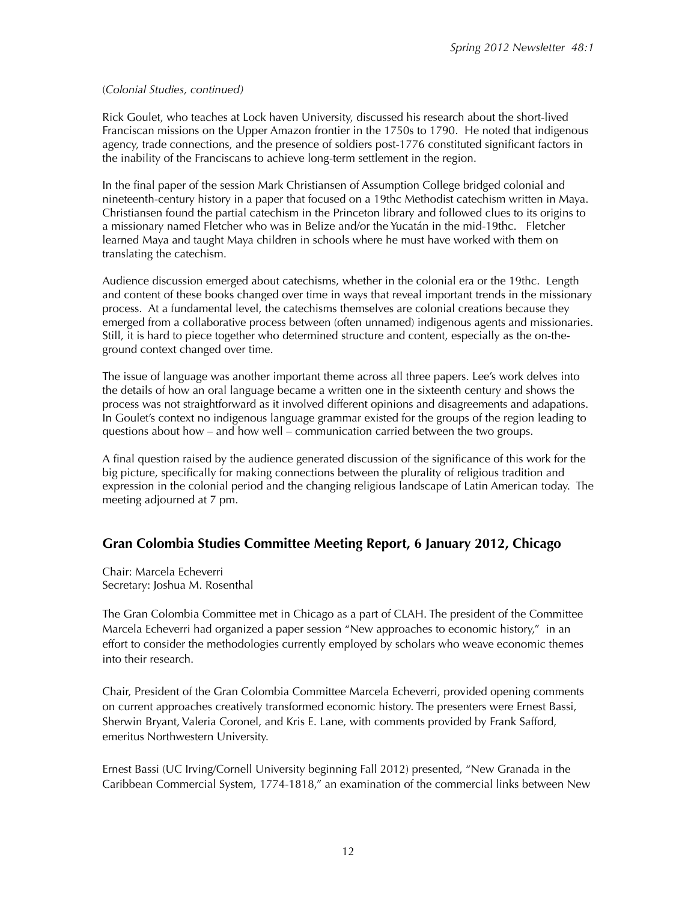#### (*Colonial Studies, continued)*

Rick Goulet, who teaches at Lock haven University, discussed his research about the short-lived Franciscan missions on the Upper Amazon frontier in the 1750s to 1790. He noted that indigenous agency, trade connections, and the presence of soldiers post-1776 constituted significant factors in the inability of the Franciscans to achieve long-term settlement in the region.

In the final paper of the session Mark Christiansen of Assumption College bridged colonial and nineteenth-century history in a paper that focused on a 19thc Methodist catechism written in Maya. Christiansen found the partial catechism in the Princeton library and followed clues to its origins to a missionary named Fletcher who was in Belize and/or the Yucatán in the mid-19thc. Fletcher learned Maya and taught Maya children in schools where he must have worked with them on translating the catechism.

Audience discussion emerged about catechisms, whether in the colonial era or the 19thc. Length and content of these books changed over time in ways that reveal important trends in the missionary process. At a fundamental level, the catechisms themselves are colonial creations because they emerged from a collaborative process between (often unnamed) indigenous agents and missionaries. Still, it is hard to piece together who determined structure and content, especially as the on-theground context changed over time.

The issue of language was another important theme across all three papers. Lee's work delves into the details of how an oral language became a written one in the sixteenth century and shows the process was not straightforward as it involved different opinions and disagreements and adapations. In Goulet's context no indigenous language grammar existed for the groups of the region leading to questions about how – and how well – communication carried between the two groups.

A final question raised by the audience generated discussion of the significance of this work for the big picture, specifically for making connections between the plurality of religious tradition and expression in the colonial period and the changing religious landscape of Latin American today. The meeting adjourned at 7 pm.

# **Gran Colombia Studies Committee Meeting Report, 6 January 2012, Chicago**

Chair: Marcela Echeverri Secretary: Joshua M. Rosenthal

The Gran Colombia Committee met in Chicago as a part of CLAH. The president of the Committee Marcela Echeverri had organized a paper session "New approaches to economic history," in an effort to consider the methodologies currently employed by scholars who weave economic themes into their research.

Chair, President of the Gran Colombia Committee Marcela Echeverri, provided opening comments on current approaches creatively transformed economic history. The presenters were Ernest Bassi, Sherwin Bryant, Valeria Coronel, and Kris E. Lane, with comments provided by Frank Safford, emeritus Northwestern University.

Ernest Bassi (UC Irving/Cornell University beginning Fall 2012) presented, "New Granada in the Caribbean Commercial System, 1774-1818," an examination of the commercial links between New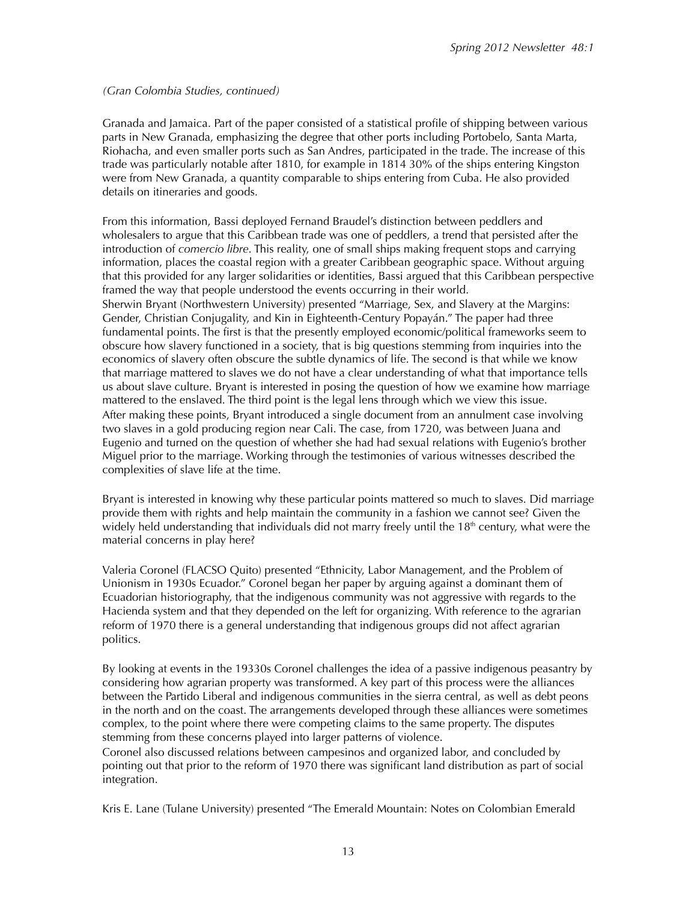*(Gran Colombia Studies, continued)*

Granada and Jamaica. Part of the paper consisted of a statistical profile of shipping between various parts in New Granada, emphasizing the degree that other ports including Portobelo, Santa Marta, Riohacha, and even smaller ports such as San Andres, participated in the trade. The increase of this trade was particularly notable after 1810, for example in 1814 30% of the ships entering Kingston were from New Granada, a quantity comparable to ships entering from Cuba. He also provided details on itineraries and goods.

From this information, Bassi deployed Fernand Braudel's distinction between peddlers and wholesalers to argue that this Caribbean trade was one of peddlers, a trend that persisted after the introduction of *comercio libre*. This reality, one of small ships making frequent stops and carrying information, places the coastal region with a greater Caribbean geographic space. Without arguing that this provided for any larger solidarities or identities, Bassi argued that this Caribbean perspective framed the way that people understood the events occurring in their world. Sherwin Bryant (Northwestern University) presented "Marriage, Sex, and Slavery at the Margins: Gender, Christian Conjugality, and Kin in Eighteenth-Century Popayán." The paper had three fundamental points. The first is that the presently employed economic/political frameworks seem to obscure how slavery functioned in a society, that is big questions stemming from inquiries into the economics of slavery often obscure the subtle dynamics of life. The second is that while we know that marriage mattered to slaves we do not have a clear understanding of what that importance tells us about slave culture. Bryant is interested in posing the question of how we examine how marriage mattered to the enslaved. The third point is the legal lens through which we view this issue. After making these points, Bryant introduced a single document from an annulment case involving two slaves in a gold producing region near Cali. The case, from 1720, was between Juana and Eugenio and turned on the question of whether she had had sexual relations with Eugenio's brother Miguel prior to the marriage. Working through the testimonies of various witnesses described the complexities of slave life at the time.

Bryant is interested in knowing why these particular points mattered so much to slaves. Did marriage provide them with rights and help maintain the community in a fashion we cannot see? Given the widely held understanding that individuals did not marry freely until the  $18<sup>th</sup>$  century, what were the material concerns in play here?

Valeria Coronel (FLACSO Quito) presented "Ethnicity, Labor Management, and the Problem of Unionism in 1930s Ecuador." Coronel began her paper by arguing against a dominant them of Ecuadorian historiography, that the indigenous community was not aggressive with regards to the Hacienda system and that they depended on the left for organizing. With reference to the agrarian reform of 1970 there is a general understanding that indigenous groups did not affect agrarian politics.

By looking at events in the 19330s Coronel challenges the idea of a passive indigenous peasantry by considering how agrarian property was transformed. A key part of this process were the alliances between the Partido Liberal and indigenous communities in the sierra central, as well as debt peons in the north and on the coast. The arrangements developed through these alliances were sometimes complex, to the point where there were competing claims to the same property. The disputes stemming from these concerns played into larger patterns of violence.

Coronel also discussed relations between campesinos and organized labor, and concluded by pointing out that prior to the reform of 1970 there was significant land distribution as part of social integration.

Kris E. Lane (Tulane University) presented "The Emerald Mountain: Notes on Colombian Emerald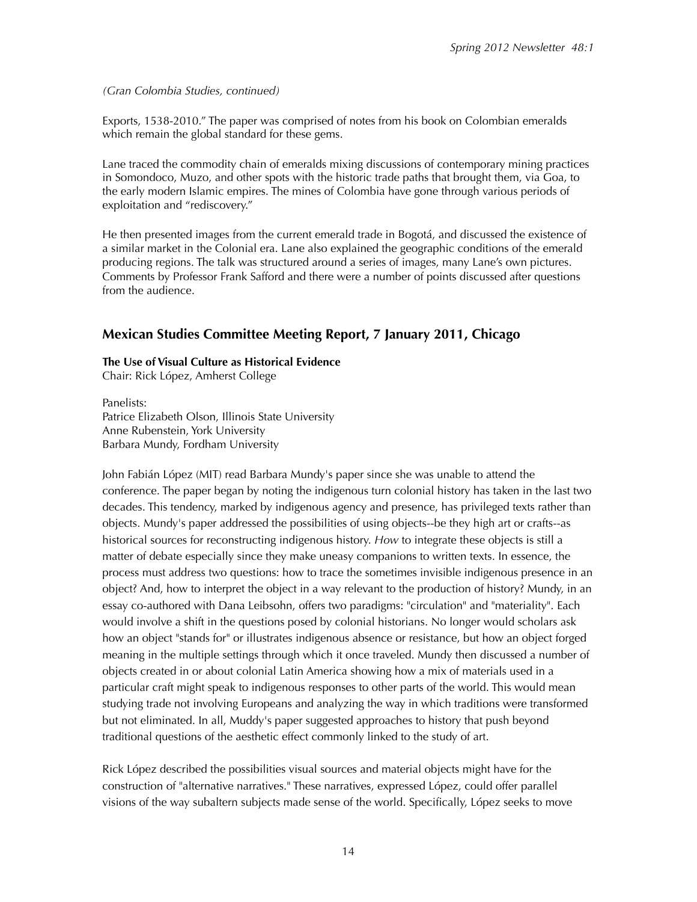*(Gran Colombia Studies, continued)*

Exports, 1538-2010." The paper was comprised of notes from his book on Colombian emeralds which remain the global standard for these gems.

Lane traced the commodity chain of emeralds mixing discussions of contemporary mining practices in Somondoco, Muzo, and other spots with the historic trade paths that brought them, via Goa, to the early modern Islamic empires. The mines of Colombia have gone through various periods of exploitation and "rediscovery."

He then presented images from the current emerald trade in Bogotá, and discussed the existence of a similar market in the Colonial era. Lane also explained the geographic conditions of the emerald producing regions. The talk was structured around a series of images, many Lane's own pictures. Comments by Professor Frank Safford and there were a number of points discussed after questions from the audience.

# **Mexican Studies Committee Meeting Report, 7 January 2011, Chicago**

#### **The Use of Visual Culture as Historical Evidence**

Chair: Rick López, Amherst College

Panelists: Patrice Elizabeth Olson, Illinois State University Anne Rubenstein, York University Barbara Mundy, Fordham University

John Fabián López (MIT) read Barbara Mundy's paper since she was unable to attend the conference. The paper began by noting the indigenous turn colonial history has taken in the last two decades. This tendency, marked by indigenous agency and presence, has privileged texts rather than objects. Mundy's paper addressed the possibilities of using objects--be they high art or crafts--as historical sources for reconstructing indigenous history. *How* to integrate these objects is still a matter of debate especially since they make uneasy companions to written texts. In essence, the process must address two questions: how to trace the sometimes invisible indigenous presence in an object? And, how to interpret the object in a way relevant to the production of history? Mundy, in an essay co-authored with Dana Leibsohn, offers two paradigms: "circulation" and "materiality". Each would involve a shift in the questions posed by colonial historians. No longer would scholars ask how an object "stands for" or illustrates indigenous absence or resistance, but how an object forged meaning in the multiple settings through which it once traveled. Mundy then discussed a number of objects created in or about colonial Latin America showing how a mix of materials used in a particular craft might speak to indigenous responses to other parts of the world. This would mean studying trade not involving Europeans and analyzing the way in which traditions were transformed but not eliminated. In all, Muddy's paper suggested approaches to history that push beyond traditional questions of the aesthetic effect commonly linked to the study of art.

Rick López described the possibilities visual sources and material objects might have for the construction of "alternative narratives." These narratives, expressed López, could offer parallel visions of the way subaltern subjects made sense of the world. Specifically, López seeks to move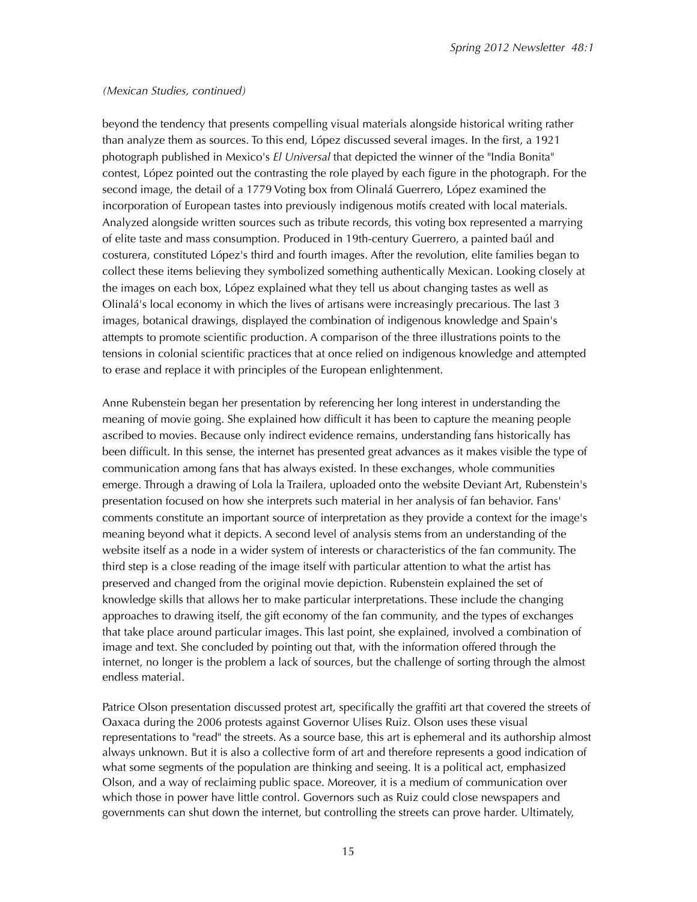#### *(Mexican Studies, continued)*

beyond the tendency that presents compelling visual materials alongside historical writing rather than analyze them as sources. To this end, López discussed several images. In the first, a 1921 photograph published in Mexico's *El Universal* that depicted the winner of the "India Bonita" contest, López pointed out the contrasting the role played by each figure in the photograph. For the second image, the detail of a 1779 Voting box from Olinalá Guerrero, López examined the incorporation of European tastes into previously indigenous motifs created with local materials. Analyzed alongside written sources such as tribute records, this voting box represented a marrying of elite taste and mass consumption. Produced in 19th-century Guerrero, a painted baúl and costurera, constituted López's third and fourth images. After the revolution, elite families began to collect these items believing they symbolized something authentically Mexican. Looking closely at the images on each box, López explained what they tell us about changing tastes as well as Olinalá's local economy in which the lives of artisans were increasingly precarious. The last 3 images, botanical drawings, displayed the combination of indigenous knowledge and Spain's attempts to promote scientific production. A comparison of the three illustrations points to the tensions in colonial scientific practices that at once relied on indigenous knowledge and attempted to erase and replace it with principles of the European enlightenment.

Anne Rubenstein began her presentation by referencing her long interest in understanding the meaning of movie going. She explained how difficult it has been to capture the meaning people ascribed to movies. Because only indirect evidence remains, understanding fans historically has been difficult. In this sense, the internet has presented great advances as it makes visible the type of communication among fans that has always existed. In these exchanges, whole communities emerge. Through a drawing of Lola la Trailera, uploaded onto the website Deviant Art, Rubenstein's presentation focused on how she interprets such material in her analysis of fan behavior. Fans' comments constitute an important source of interpretation as they provide a context for the image's meaning beyond what it depicts. A second level of analysis stems from an understanding of the website itself as a node in a wider system of interests or characteristics of the fan community. The third step is a close reading of the image itself with particular attention to what the artist has preserved and changed from the original movie depiction. Rubenstein explained the set of knowledge skills that allows her to make particular interpretations. These include the changing approaches to drawing itself, the gift economy of the fan community, and the types of exchanges that take place around particular images. This last point, she explained, involved a combination of image and text. She concluded by pointing out that, with the information offered through the internet, no longer is the problem a lack of sources, but the challenge of sorting through the almost endless material.

Patrice Olson presentation discussed protest art, specifically the graffiti art that covered the streets of Oaxaca during the 2006 protests against Governor Ulises Ruiz. Olson uses these visual representations to "read" the streets. As a source base, this art is ephemeral and its authorship almost always unknown. But it is also a collective form of art and therefore represents a good indication of what some segments of the population are thinking and seeing. It is a political act, emphasized Olson, and a way of reclaiming public space. Moreover, it is a medium of communication over which those in power have little control. Governors such as Ruiz could close newspapers and governments can shut down the internet, but controlling the streets can prove harder. Ultimately,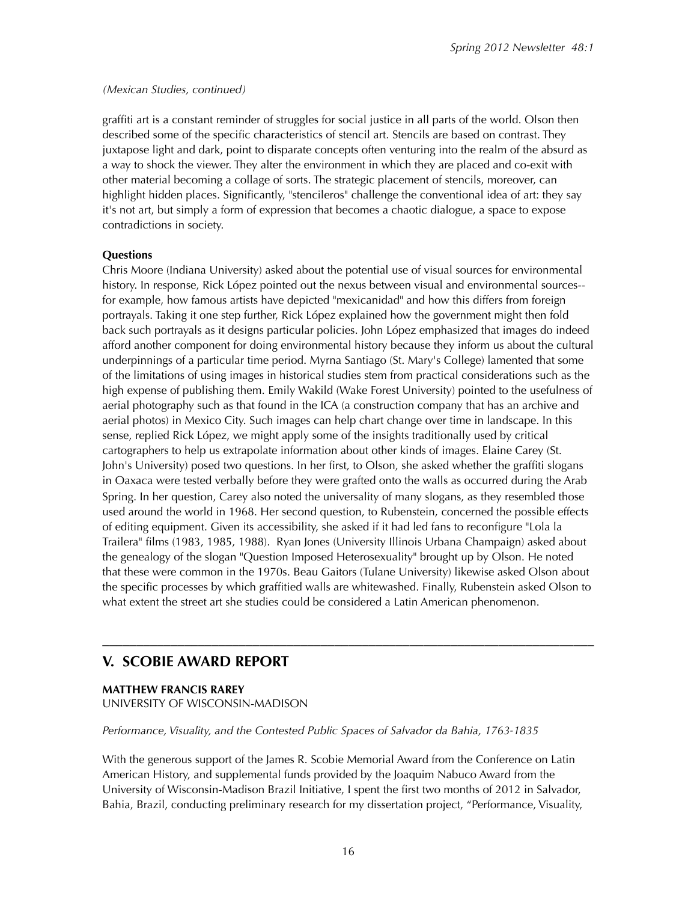#### *(Mexican Studies, continued)*

graffiti art is a constant reminder of struggles for social justice in all parts of the world. Olson then described some of the specific characteristics of stencil art. Stencils are based on contrast. They juxtapose light and dark, point to disparate concepts often venturing into the realm of the absurd as a way to shock the viewer. They alter the environment in which they are placed and co-exit with other material becoming a collage of sorts. The strategic placement of stencils, moreover, can highlight hidden places. Significantly, "stencileros" challenge the conventional idea of art: they say it's not art, but simply a form of expression that becomes a chaotic dialogue, a space to expose contradictions in society.

## **Questions**

Chris Moore (Indiana University) asked about the potential use of visual sources for environmental history. In response, Rick López pointed out the nexus between visual and environmental sources- for example, how famous artists have depicted "mexicanidad" and how this differs from foreign portrayals. Taking it one step further, Rick López explained how the government might then fold back such portrayals as it designs particular policies. John López emphasized that images do indeed afford another component for doing environmental history because they inform us about the cultural underpinnings of a particular time period. Myrna Santiago (St. Mary's College) lamented that some of the limitations of using images in historical studies stem from practical considerations such as the high expense of publishing them. Emily Wakild (Wake Forest University) pointed to the usefulness of aerial photography such as that found in the ICA (a construction company that has an archive and aerial photos) in Mexico City. Such images can help chart change over time in landscape. In this sense, replied Rick López, we might apply some of the insights traditionally used by critical cartographers to help us extrapolate information about other kinds of images. Elaine Carey (St. John's University) posed two questions. In her first, to Olson, she asked whether the graffiti slogans in Oaxaca were tested verbally before they were grafted onto the walls as occurred during the Arab Spring. In her question, Carey also noted the universality of many slogans, as they resembled those used around the world in 1968. Her second question, to Rubenstein, concerned the possible effects of editing equipment. Given its accessibility, she asked if it had led fans to reconfigure "Lola la Trailera" films (1983, 1985, 1988). Ryan Jones (University Illinois Urbana Champaign) asked about the genealogy of the slogan "Question Imposed Heterosexuality" brought up by Olson. He noted that these were common in the 1970s. Beau Gaitors (Tulane University) likewise asked Olson about the specific processes by which graffitied walls are whitewashed. Finally, Rubenstein asked Olson to what extent the street art she studies could be considered a Latin American phenomenon.

# –––––––––––––––––––––––––––––––––––––––––––––––––––––––––––––––––––––––– **V. SCOBIE AWARD REPORT**

**MATTHEW FRANCIS RAREY** UNIVERSITY OF WISCONSIN-MADISON

## *Performance, Visuality, and the Contested Public Spaces of Salvador da Bahia, 1763-1835*

With the generous support of the James R. Scobie Memorial Award from the Conference on Latin American History, and supplemental funds provided by the Joaquim Nabuco Award from the University of Wisconsin-Madison Brazil Initiative, I spent the first two months of 2012 in Salvador, Bahia, Brazil, conducting preliminary research for my dissertation project, "Performance, Visuality,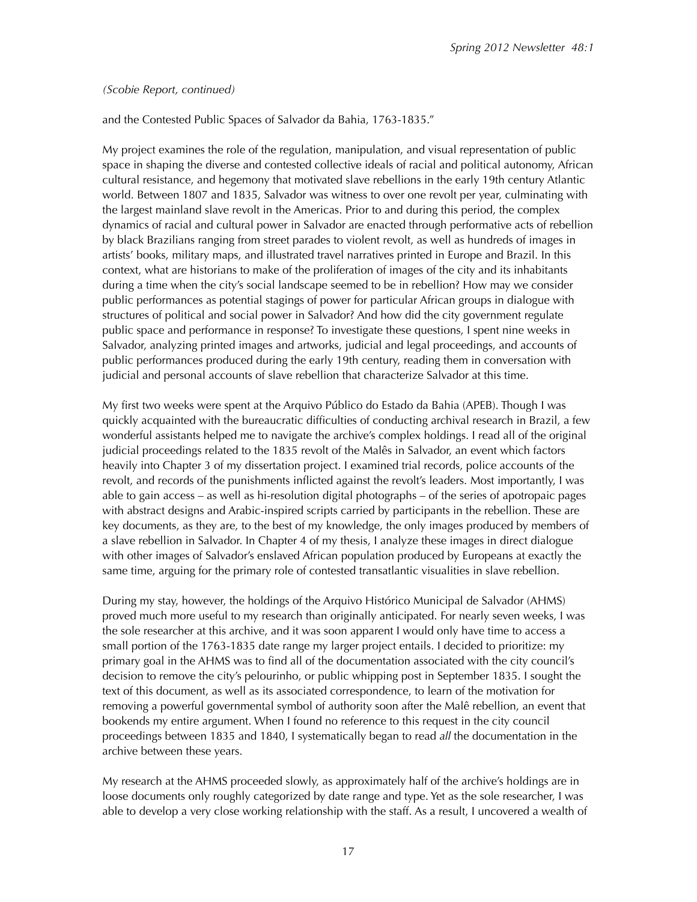#### *(Scobie Report, continued)*

#### and the Contested Public Spaces of Salvador da Bahia, 1763-1835."

My project examines the role of the regulation, manipulation, and visual representation of public space in shaping the diverse and contested collective ideals of racial and political autonomy, African cultural resistance, and hegemony that motivated slave rebellions in the early 19th century Atlantic world. Between 1807 and 1835, Salvador was witness to over one revolt per year, culminating with the largest mainland slave revolt in the Americas. Prior to and during this period, the complex dynamics of racial and cultural power in Salvador are enacted through performative acts of rebellion by black Brazilians ranging from street parades to violent revolt, as well as hundreds of images in artists' books, military maps, and illustrated travel narratives printed in Europe and Brazil. In this context, what are historians to make of the proliferation of images of the city and its inhabitants during a time when the city's social landscape seemed to be in rebellion? How may we consider public performances as potential stagings of power for particular African groups in dialogue with structures of political and social power in Salvador? And how did the city government regulate public space and performance in response? To investigate these questions, I spent nine weeks in Salvador, analyzing printed images and artworks, judicial and legal proceedings, and accounts of public performances produced during the early 19th century, reading them in conversation with judicial and personal accounts of slave rebellion that characterize Salvador at this time.

My first two weeks were spent at the Arquivo Público do Estado da Bahia (APEB). Though I was quickly acquainted with the bureaucratic difficulties of conducting archival research in Brazil, a few wonderful assistants helped me to navigate the archive's complex holdings. I read all of the original judicial proceedings related to the 1835 revolt of the Malês in Salvador, an event which factors heavily into Chapter 3 of my dissertation project. I examined trial records, police accounts of the revolt, and records of the punishments inflicted against the revolt's leaders. Most importantly, I was able to gain access – as well as hi-resolution digital photographs – of the series of apotropaic pages with abstract designs and Arabic-inspired scripts carried by participants in the rebellion. These are key documents, as they are, to the best of my knowledge, the only images produced by members of a slave rebellion in Salvador. In Chapter 4 of my thesis, I analyze these images in direct dialogue with other images of Salvador's enslaved African population produced by Europeans at exactly the same time, arguing for the primary role of contested transatlantic visualities in slave rebellion.

During my stay, however, the holdings of the Arquivo Histórico Municipal de Salvador (AHMS) proved much more useful to my research than originally anticipated. For nearly seven weeks, I was the sole researcher at this archive, and it was soon apparent I would only have time to access a small portion of the 1763-1835 date range my larger project entails. I decided to prioritize: my primary goal in the AHMS was to find all of the documentation associated with the city council's decision to remove the city's pelourinho, or public whipping post in September 1835. I sought the text of this document, as well as its associated correspondence, to learn of the motivation for removing a powerful governmental symbol of authority soon after the Malê rebellion, an event that bookends my entire argument. When I found no reference to this request in the city council proceedings between 1835 and 1840, I systematically began to read *all* the documentation in the archive between these years.

My research at the AHMS proceeded slowly, as approximately half of the archive's holdings are in loose documents only roughly categorized by date range and type. Yet as the sole researcher, I was able to develop a very close working relationship with the staff. As a result, I uncovered a wealth of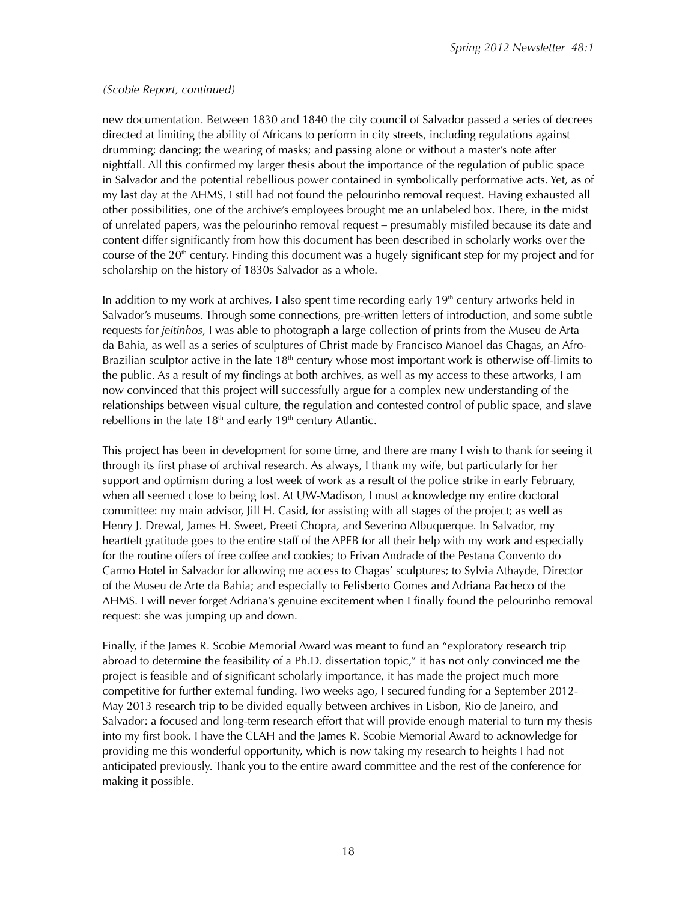#### *(Scobie Report, continued)*

new documentation. Between 1830 and 1840 the city council of Salvador passed a series of decrees directed at limiting the ability of Africans to perform in city streets, including regulations against drumming; dancing; the wearing of masks; and passing alone or without a master's note after nightfall. All this confirmed my larger thesis about the importance of the regulation of public space in Salvador and the potential rebellious power contained in symbolically performative acts. Yet, as of my last day at the AHMS, I still had not found the pelourinho removal request. Having exhausted all other possibilities, one of the archive's employees brought me an unlabeled box. There, in the midst of unrelated papers, was the pelourinho removal request – presumably misfiled because its date and content differ significantly from how this document has been described in scholarly works over the course of the  $20<sup>th</sup>$  century. Finding this document was a hugely significant step for my project and for scholarship on the history of 1830s Salvador as a whole.

In addition to my work at archives, I also spent time recording early  $19<sup>th</sup>$  century artworks held in Salvador's museums. Through some connections, pre-written letters of introduction, and some subtle requests for *jeitinhos*, I was able to photograph a large collection of prints from the Museu de Arta da Bahia, as well as a series of sculptures of Christ made by Francisco Manoel das Chagas, an Afro-Brazilian sculptor active in the late  $18<sup>th</sup>$  century whose most important work is otherwise off-limits to the public. As a result of my findings at both archives, as well as my access to these artworks, I am now convinced that this project will successfully argue for a complex new understanding of the relationships between visual culture, the regulation and contested control of public space, and slave rebellions in the late  $18<sup>th</sup>$  and early  $19<sup>th</sup>$  century Atlantic.

This project has been in development for some time, and there are many I wish to thank for seeing it through its first phase of archival research. As always, I thank my wife, but particularly for her support and optimism during a lost week of work as a result of the police strike in early February, when all seemed close to being lost. At UW-Madison, I must acknowledge my entire doctoral committee: my main advisor, Jill H. Casid, for assisting with all stages of the project; as well as Henry J. Drewal, James H. Sweet, Preeti Chopra, and Severino Albuquerque. In Salvador, my heartfelt gratitude goes to the entire staff of the APEB for all their help with my work and especially for the routine offers of free coffee and cookies; to Erivan Andrade of the Pestana Convento do Carmo Hotel in Salvador for allowing me access to Chagas' sculptures; to Sylvia Athayde, Director of the Museu de Arte da Bahia; and especially to Felisberto Gomes and Adriana Pacheco of the AHMS. I will never forget Adriana's genuine excitement when I finally found the pelourinho removal request: she was jumping up and down.

Finally, if the James R. Scobie Memorial Award was meant to fund an "exploratory research trip abroad to determine the feasibility of a Ph.D. dissertation topic," it has not only convinced me the project is feasible and of significant scholarly importance, it has made the project much more competitive for further external funding. Two weeks ago, I secured funding for a September 2012- May 2013 research trip to be divided equally between archives in Lisbon, Rio de Janeiro, and Salvador: a focused and long-term research effort that will provide enough material to turn my thesis into my first book. I have the CLAH and the James R. Scobie Memorial Award to acknowledge for providing me this wonderful opportunity, which is now taking my research to heights I had not anticipated previously. Thank you to the entire award committee and the rest of the conference for making it possible.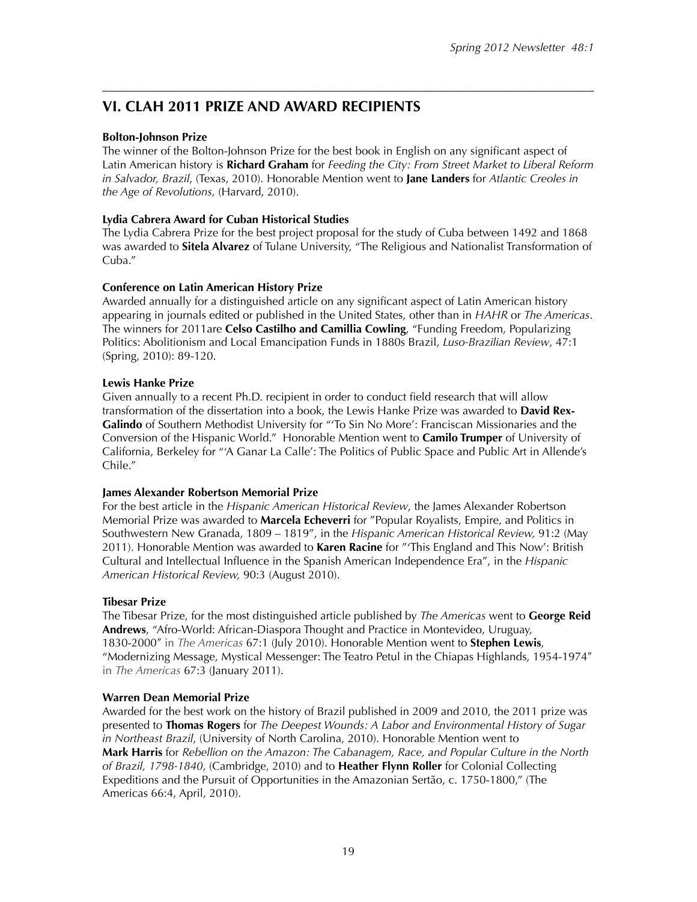# **VI. CLAH 2011 PRIZE AND AWARD RECIPIENTS**

### **Bolton-Johnson Prize**

The winner of the Bolton-Johnson Prize for the best book in English on any significant aspect of Latin American history is **Richard Graham** for *Feeding the City: From Street Market to Liberal Reform in Salvador, Brazil*, (Texas, 2010). Honorable Mention went to **Jane Landers** for *Atlantic Creoles in the Age of Revolutions,* (Harvard, 2010).

––––––––––––––––––––––––––––––––––––––––––––––––––––––––––––––––––––––––

## **Lydia Cabrera Award for Cuban Historical Studies**

The Lydia Cabrera Prize for the best project proposal for the study of Cuba between 1492 and 1868 was awarded to **Sitela Alvarez** of Tulane University, "The Religious and Nationalist Transformation of Cuba<sup>"</sup>

#### **Conference on Latin American History Prize**

Awarded annually for a distinguished article on any significant aspect of Latin American history appearing in journals edited or published in the United States, other than in *HAHR* or *The Americas*. The winners for 2011are **Celso Castilho and Camillia Cowling**, "Funding Freedom, Popularizing Politics: Abolitionism and Local Emancipation Funds in 1880s Brazil, *Luso-Brazilian Review*, 47:1 (Spring, 2010): 89-120.

#### **Lewis Hanke Prize**

Given annually to a recent Ph.D. recipient in order to conduct field research that will allow transformation of the dissertation into a book, the Lewis Hanke Prize was awarded to **David Rex-Galindo** of Southern Methodist University for "'To Sin No More': Franciscan Missionaries and the Conversion of the Hispanic World." Honorable Mention went to **Camilo Trumper** of University of California, Berkeley for "'A Ganar La Calle': The Politics of Public Space and Public Art in Allende's Chile."

#### **James Alexander Robertson Memorial Prize**

For the best article in the *Hispanic American Historical Review*, the James Alexander Robertson Memorial Prize was awarded to **Marcela Echeverri** for "Popular Royalists, Empire, and Politics in Southwestern New Granada, 1809 – 1819", in the *Hispanic American Historical Review,* 91:2 (May 2011). Honorable Mention was awarded to **Karen Racine** for "'This England and This Now': British Cultural and Intellectual Influence in the Spanish American Independence Era", in the *Hispanic American Historical Review,* 90:3 (August 2010).

#### **Tibesar Prize**

The Tibesar Prize, for the most distinguished article published by *The Americas* went to **George Reid Andrews**, "Afro-World: African-Diaspora Thought and Practice in Montevideo, Uruguay, 1830-2000! in *The Americas* 67:1 (July 2010). Honorable Mention went to **Stephen Lewis**, "Modernizing Message, Mystical Messenger: The Teatro Petul in the Chiapas Highlands, 1954-1974! in *The Americas* 67:3 (January 2011).

#### **Warren Dean Memorial Prize**

Awarded for the best work on the history of Brazil published in 2009 and 2010, the 2011 prize was presented to **Thomas Rogers** for *The Deepest Wounds: A Labor and Environmental History of Sugar in Northeast Brazil*, (University of North Carolina, 2010). Honorable Mention went to **Mark Harris** for *Rebellion on the Amazon: The Cabanagem, Race, and Popular Culture in the North of Brazil, 1798-1840*, (Cambridge, 2010) and to **Heather Flynn Roller** for Colonial Collecting Expeditions and the Pursuit of Opportunities in the Amazonian Sertão, c. 1750-1800," (The Americas 66:4, April, 2010).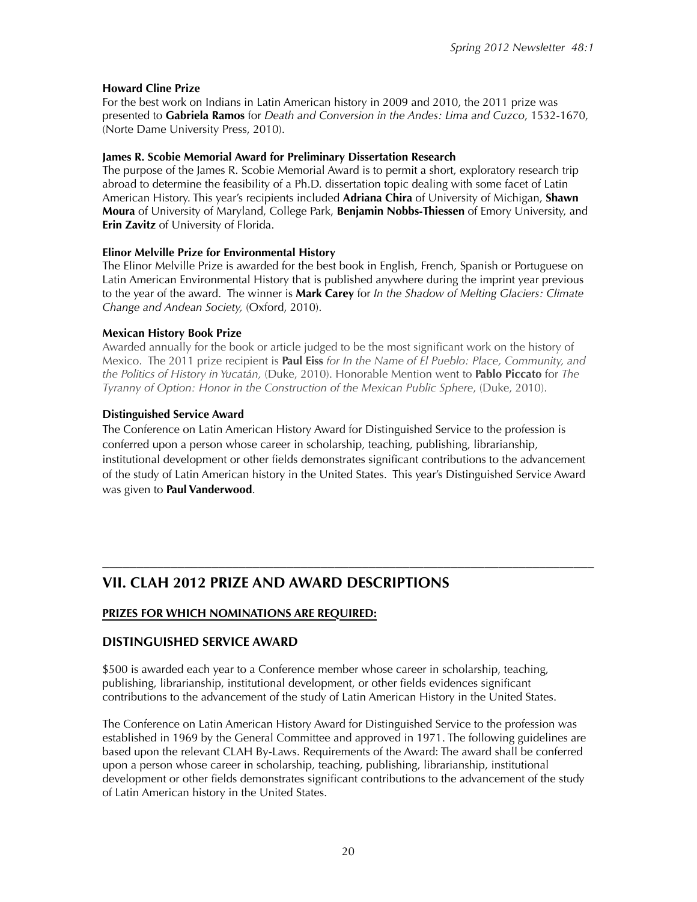# **Howard Cline Prize**

For the best work on Indians in Latin American history in 2009 and 2010, the 2011 prize was presented to **Gabriela Ramos** for *Death and Conversion in the Andes: Lima and Cuzco*, 1532-1670, (Norte Dame University Press, 2010).

# **James R. Scobie Memorial Award for Preliminary Dissertation Research**

The purpose of the James R. Scobie Memorial Award is to permit a short, exploratory research trip abroad to determine the feasibility of a Ph.D. dissertation topic dealing with some facet of Latin American History. This year's recipients included **Adriana Chira** of University of Michigan, **Shawn Moura** of University of Maryland, College Park, **Benjamin Nobbs-Thiessen** of Emory University, and **Erin Zavitz** of University of Florida.

## **Elinor Melville Prize for Environmental History**

The Elinor Melville Prize is awarded for the best book in English, French, Spanish or Portuguese on Latin American Environmental History that is published anywhere during the imprint year previous to the year of the award. The winner is **Mark Carey** for *In the Shadow of Melting Glaciers: Climate Change and Andean Society,* (Oxford, 2010).

# **Mexican History Book Prize**

Awarded annually for the book or article judged to be the most significant work on the history of Mexico. The 2011 prize recipient is **Paul Eiss** *for In the Name of El Pueblo: Place, Community, and the Politics of History in Yucatán,* (Duke, 2010). Honorable Mention went to **Pablo Piccato** for *The Tyranny of Option: Honor in the Construction of the Mexican Public Sphere*, (Duke, 2010).

# **Distinguished Service Award**

The Conference on Latin American History Award for Distinguished Service to the profession is conferred upon a person whose career in scholarship, teaching, publishing, librarianship, institutional development or other fields demonstrates significant contributions to the advancement of the study of Latin American history in the United States. This year's Distinguished Service Award was given to **Paul Vanderwood**.

# –––––––––––––––––––––––––––––––––––––––––––––––––––––––––––––––––––––––– **VII. CLAH 2012 PRIZE AND AWARD DESCRIPTIONS**

# **PRIZES FOR WHICH NOMINATIONS ARE REQUIRED:**

# **DISTINGUISHED SERVICE AWARD**

\$500 is awarded each year to a Conference member whose career in scholarship, teaching, publishing, librarianship, institutional development, or other fields evidences significant contributions to the advancement of the study of Latin American History in the United States.

The Conference on Latin American History Award for Distinguished Service to the profession was established in 1969 by the General Committee and approved in 1971. The following guidelines are based upon the relevant CLAH By-Laws. Requirements of the Award: The award shall be conferred upon a person whose career in scholarship, teaching, publishing, librarianship, institutional development or other fields demonstrates significant contributions to the advancement of the study of Latin American history in the United States.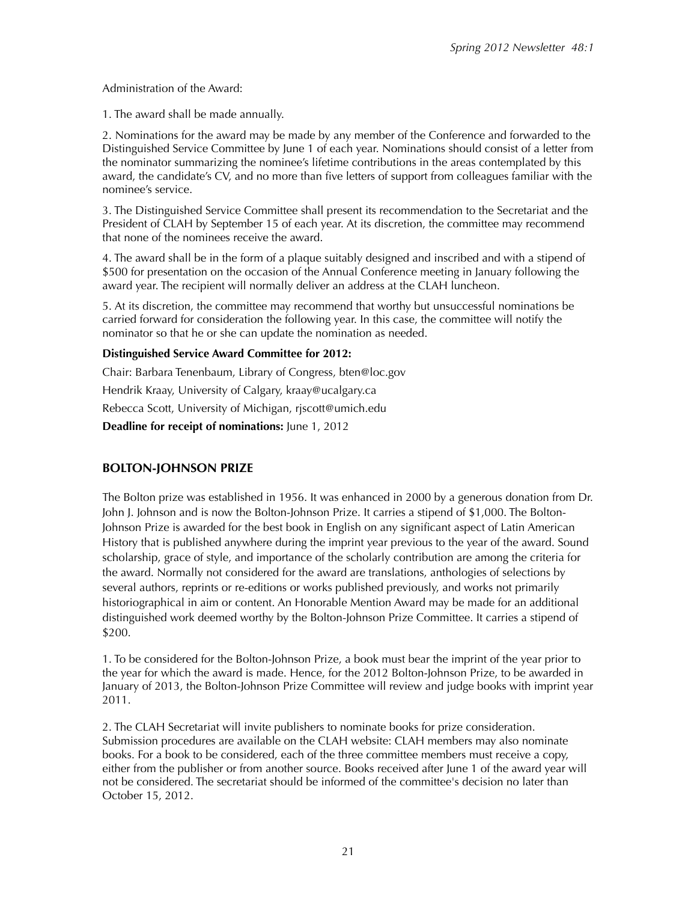Administration of the Award:

1. The award shall be made annually.

2. Nominations for the award may be made by any member of the Conference and forwarded to the Distinguished Service Committee by June 1 of each year. Nominations should consist of a letter from the nominator summarizing the nominee's lifetime contributions in the areas contemplated by this award, the candidate's CV, and no more than five letters of support from colleagues familiar with the nominee's service.

3. The Distinguished Service Committee shall present its recommendation to the Secretariat and the President of CLAH by September 15 of each year. At its discretion, the committee may recommend that none of the nominees receive the award.

4. The award shall be in the form of a plaque suitably designed and inscribed and with a stipend of \$500 for presentation on the occasion of the Annual Conference meeting in January following the award year. The recipient will normally deliver an address at the CLAH luncheon.

5. At its discretion, the committee may recommend that worthy but unsuccessful nominations be carried forward for consideration the following year. In this case, the committee will notify the nominator so that he or she can update the nomination as needed.

## **Distinguished Service Award Committee for 2012:**

Chair: Barbara Tenenbaum, Library of Congress, bten@loc.gov

Hendrik Kraay, University of Calgary, kraay@ucalgary.ca

Rebecca Scott, University of Michigan, rjscott@umich.edu

**Deadline for receipt of nominations:** June 1, 2012

## **BOLTON-JOHNSON PRIZE**

The Bolton prize was established in 1956. It was enhanced in 2000 by a generous donation from Dr. John J. Johnson and is now the Bolton-Johnson Prize. It carries a stipend of \$1,000. The Bolton-Johnson Prize is awarded for the best book in English on any significant aspect of Latin American History that is published anywhere during the imprint year previous to the year of the award. Sound scholarship, grace of style, and importance of the scholarly contribution are among the criteria for the award. Normally not considered for the award are translations, anthologies of selections by several authors, reprints or re-editions or works published previously, and works not primarily historiographical in aim or content. An Honorable Mention Award may be made for an additional distinguished work deemed worthy by the Bolton-Johnson Prize Committee. It carries a stipend of \$200.

1. To be considered for the Bolton-Johnson Prize, a book must bear the imprint of the year prior to the year for which the award is made. Hence, for the 2012 Bolton-Johnson Prize, to be awarded in January of 2013, the Bolton-Johnson Prize Committee will review and judge books with imprint year 2011.

2. The CLAH Secretariat will invite publishers to nominate books for prize consideration. Submission procedures are available on the CLAH website: CLAH members may also nominate books. For a book to be considered, each of the three committee members must receive a copy, either from the publisher or from another source. Books received after June 1 of the award year will not be considered. The secretariat should be informed of the committee's decision no later than October 15, 2012.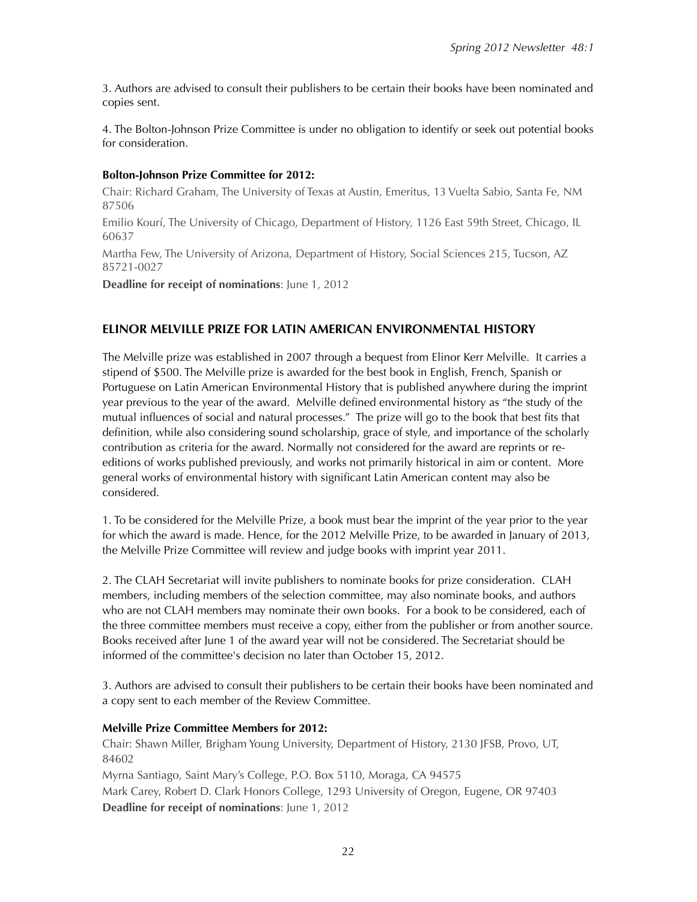3. Authors are advised to consult their publishers to be certain their books have been nominated and copies sent.

4. The Bolton-Johnson Prize Committee is under no obligation to identify or seek out potential books for consideration.

#### **Bolton-Johnson Prize Committee for 2012:**

Chair: Richard Graham, The University of Texas at Austin, Emeritus, 13 Vuelta Sabio, Santa Fe, NM 87506

Emilio Kourí, The University of Chicago, Department of History, 1126 East 59th Street, Chicago, IL 60637

Martha Few, The University of Arizona, Department of History, Social Sciences 215, Tucson, AZ 85721-0027

**Deadline for receipt of nominations**: June 1, 2012

# **ELINOR MELVILLE PRIZE FOR LATIN AMERICAN ENVIRONMENTAL HISTORY**

The Melville prize was established in 2007 through a bequest from Elinor Kerr Melville. It carries a stipend of \$500. The Melville prize is awarded for the best book in English, French, Spanish or Portuguese on Latin American Environmental History that is published anywhere during the imprint year previous to the year of the award. Melville defined environmental history as "the study of the mutual influences of social and natural processes." The prize will go to the book that best fits that definition, while also considering sound scholarship, grace of style, and importance of the scholarly contribution as criteria for the award. Normally not considered for the award are reprints or reeditions of works published previously, and works not primarily historical in aim or content. More general works of environmental history with significant Latin American content may also be considered.

1. To be considered for the Melville Prize, a book must bear the imprint of the year prior to the year for which the award is made. Hence, for the 2012 Melville Prize, to be awarded in January of 2013, the Melville Prize Committee will review and judge books with imprint year 2011.

2. The CLAH Secretariat will invite publishers to nominate books for prize consideration. CLAH members, including members of the selection committee, may also nominate books, and authors who are not CLAH members may nominate their own books. For a book to be considered, each of the three committee members must receive a copy, either from the publisher or from another source. Books received after June 1 of the award year will not be considered. The Secretariat should be informed of the committee's decision no later than October 15, 2012.

3. Authors are advised to consult their publishers to be certain their books have been nominated and a copy sent to each member of the Review Committee.

#### **Melville Prize Committee Members for 2012:**

Chair: Shawn Miller, Brigham Young University, Department of History, 2130 JFSB, Provo, UT, 84602 Myrna Santiago, Saint Mary's College, P.O. Box 5110, Moraga, CA 94575

Mark Carey, Robert D. Clark Honors College, 1293 University of Oregon, Eugene, OR 97403 **Deadline for receipt of nominations**: June 1, 2012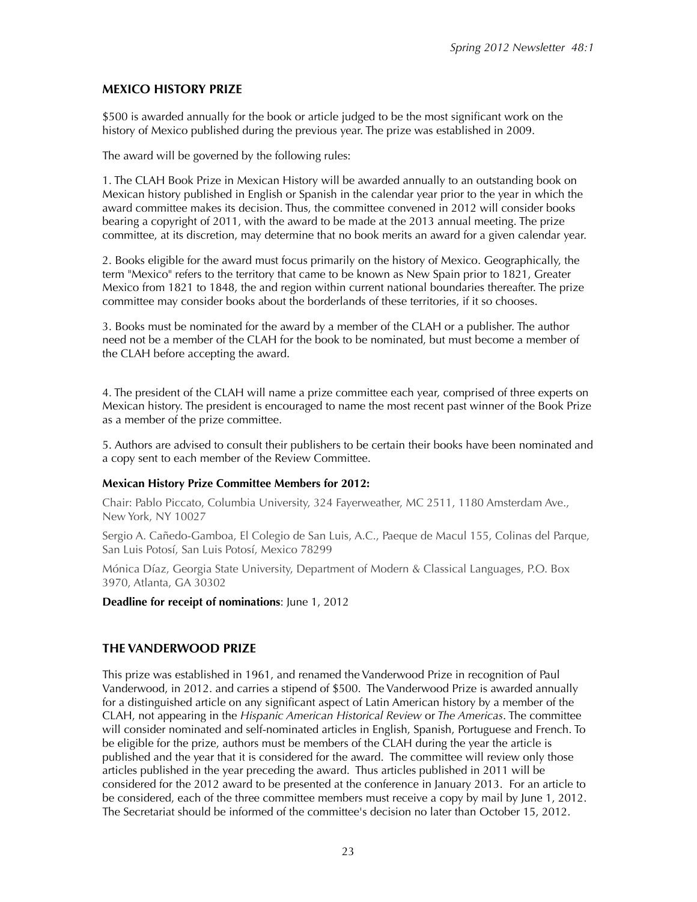# **MEXICO HISTORY PRIZE**

\$500 is awarded annually for the book or article judged to be the most significant work on the history of Mexico published during the previous year. The prize was established in 2009.

The award will be governed by the following rules:

1. The CLAH Book Prize in Mexican History will be awarded annually to an outstanding book on Mexican history published in English or Spanish in the calendar year prior to the year in which the award committee makes its decision. Thus, the committee convened in 2012 will consider books bearing a copyright of 2011, with the award to be made at the 2013 annual meeting. The prize committee, at its discretion, may determine that no book merits an award for a given calendar year.

2. Books eligible for the award must focus primarily on the history of Mexico. Geographically, the term "Mexico" refers to the territory that came to be known as New Spain prior to 1821, Greater Mexico from 1821 to 1848, the and region within current national boundaries thereafter. The prize committee may consider books about the borderlands of these territories, if it so chooses.

3. Books must be nominated for the award by a member of the CLAH or a publisher. The author need not be a member of the CLAH for the book to be nominated, but must become a member of the CLAH before accepting the award.

4. The president of the CLAH will name a prize committee each year, comprised of three experts on Mexican history. The president is encouraged to name the most recent past winner of the Book Prize as a member of the prize committee.

5. Authors are advised to consult their publishers to be certain their books have been nominated and a copy sent to each member of the Review Committee.

#### **Mexican History Prize Committee Members for 2012:**

Chair: Pablo Piccato, Columbia University, 324 Fayerweather, MC 2511, 1180 Amsterdam Ave., New York, NY 10027

Sergio A. Cañedo-Gamboa, El Colegio de San Luis, A.C., Paeque de Macul 155, Colinas del Parque, San Luis Potosí, San Luis Potosí, Mexico 78299

Mónica Díaz, Georgia State University, Department of Modern & Classical Languages, P.O. Box 3970, Atlanta, GA 30302

**Deadline for receipt of nominations**: June 1, 2012

# **THE VANDERWOOD PRIZE**

This prize was established in 1961, and renamed the Vanderwood Prize in recognition of Paul Vanderwood, in 2012. and carries a stipend of \$500. The Vanderwood Prize is awarded annually for a distinguished article on any significant aspect of Latin American history by a member of the CLAH, not appearing in the *Hispanic American Historical Review* or *The Americas*. The committee will consider nominated and self-nominated articles in English, Spanish, Portuguese and French. To be eligible for the prize, authors must be members of the CLAH during the year the article is published and the year that it is considered for the award. The committee will review only those articles published in the year preceding the award. Thus articles published in 2011 will be considered for the 2012 award to be presented at the conference in January 2013. For an article to be considered, each of the three committee members must receive a copy by mail by June 1, 2012. The Secretariat should be informed of the committee's decision no later than October 15, 2012.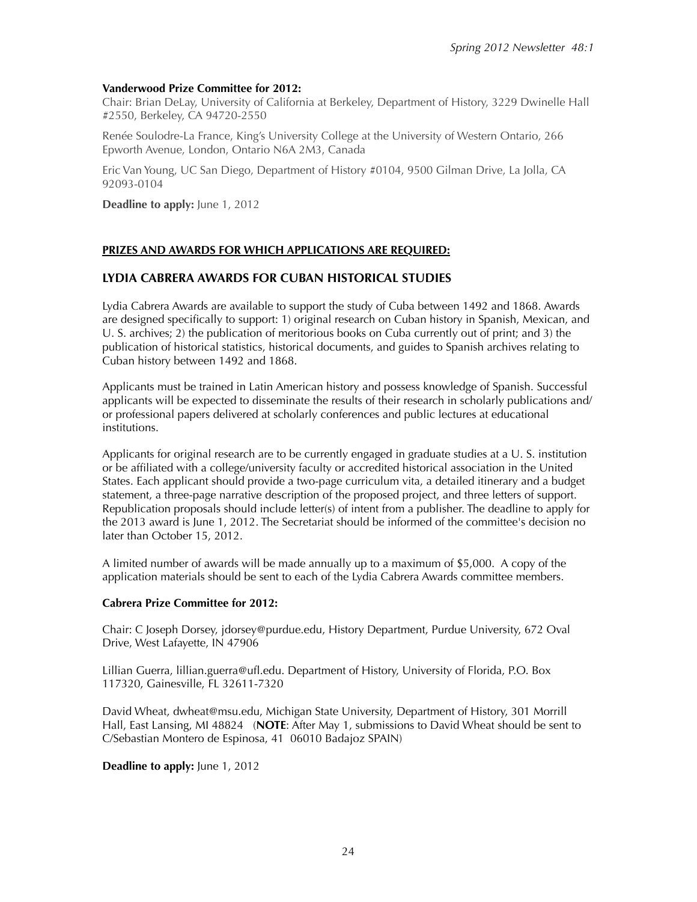## **Vanderwood Prize Committee for 2012:**

Chair: Brian DeLay, University of California at Berkeley, Department of History, 3229 Dwinelle Hall #2550, Berkeley, CA 94720-2550

Renée Soulodre-La France, King's University College at the University of Western Ontario, 266 Epworth Avenue, London, Ontario N6A 2M3, Canada

Eric Van Young, UC San Diego, Department of History #0104, 9500 Gilman Drive, La Jolla, CA 92093-0104

**Deadline to apply:** June 1, 2012

# **PRIZES AND AWARDS FOR WHICH APPLICATIONS ARE REQUIRED:**

# **LYDIA CABRERA AWARDS FOR CUBAN HISTORICAL STUDIES**

Lydia Cabrera Awards are available to support the study of Cuba between 1492 and 1868. Awards are designed specifically to support: 1) original research on Cuban history in Spanish, Mexican, and U. S. archives; 2) the publication of meritorious books on Cuba currently out of print; and 3) the publication of historical statistics, historical documents, and guides to Spanish archives relating to Cuban history between 1492 and 1868.

Applicants must be trained in Latin American history and possess knowledge of Spanish. Successful applicants will be expected to disseminate the results of their research in scholarly publications and/ or professional papers delivered at scholarly conferences and public lectures at educational institutions.

Applicants for original research are to be currently engaged in graduate studies at a U. S. institution or be affiliated with a college/university faculty or accredited historical association in the United States. Each applicant should provide a two-page curriculum vita, a detailed itinerary and a budget statement, a three-page narrative description of the proposed project, and three letters of support. Republication proposals should include letter(s) of intent from a publisher. The deadline to apply for the 2013 award is June 1, 2012. The Secretariat should be informed of the committee's decision no later than October 15, 2012.

A limited number of awards will be made annually up to a maximum of \$5,000. A copy of the application materials should be sent to each of the Lydia Cabrera Awards committee members.

#### **Cabrera Prize Committee for 2012:**

Chair: C Joseph Dorsey, jdorsey@purdue.edu, History Department, Purdue University, 672 Oval Drive, West Lafayette, IN 47906

Lillian Guerra, lillian.guerra@ufl.edu. Department of History, University of Florida, P.O. Box 117320, Gainesville, FL 32611-7320

David Wheat, dwheat@msu.edu, Michigan State University, Department of History, 301 Morrill Hall, East Lansing, MI 48824 (**NOTE**: After May 1, submissions to David Wheat should be sent to C/Sebastian Montero de Espinosa, 41 06010 Badajoz SPAIN)

**Deadline to apply:** June 1, 2012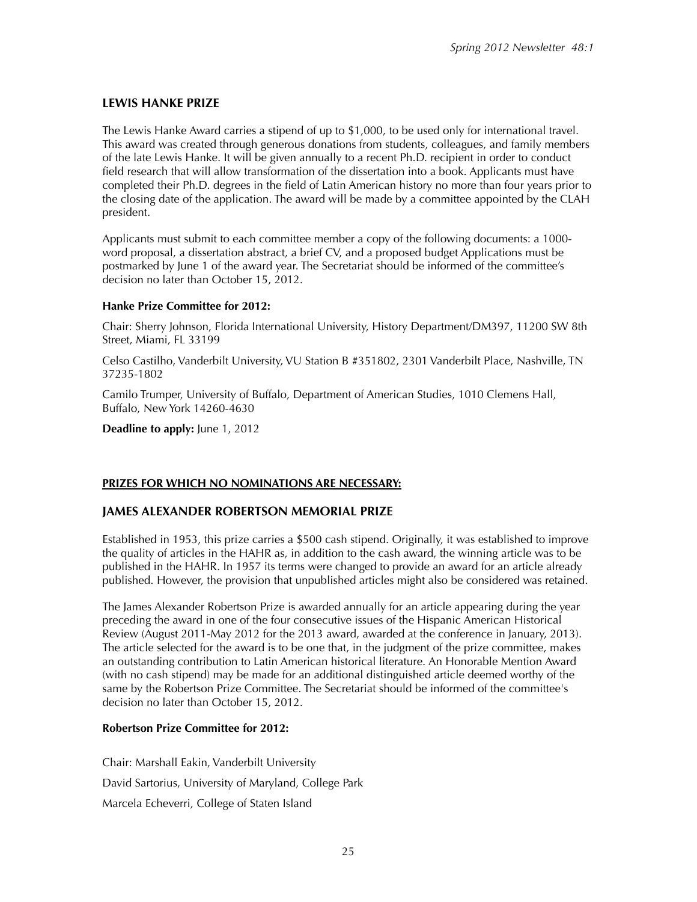# **LEWIS HANKE PRIZE**

The Lewis Hanke Award carries a stipend of up to \$1,000, to be used only for international travel. This award was created through generous donations from students, colleagues, and family members of the late Lewis Hanke. It will be given annually to a recent Ph.D. recipient in order to conduct field research that will allow transformation of the dissertation into a book. Applicants must have completed their Ph.D. degrees in the field of Latin American history no more than four years prior to the closing date of the application. The award will be made by a committee appointed by the CLAH president.

Applicants must submit to each committee member a copy of the following documents: a 1000 word proposal, a dissertation abstract, a brief CV, and a proposed budget Applications must be postmarked by June 1 of the award year. The Secretariat should be informed of the committee's decision no later than October 15, 2012.

#### **Hanke Prize Committee for 2012:**

Chair: Sherry Johnson, Florida International University, History Department/DM397, 11200 SW 8th Street, Miami, FL 33199

Celso Castilho, Vanderbilt University, VU Station B #351802, 2301 Vanderbilt Place, Nashville, TN 37235-1802

Camilo Trumper, University of Buffalo, Department of American Studies, 1010 Clemens Hall, Buffalo, New York 14260-4630

**Deadline to apply:** June 1, 2012

## **PRIZES FOR WHICH NO NOMINATIONS ARE NECESSARY:**

## **JAMES ALEXANDER ROBERTSON MEMORIAL PRIZE**

Established in 1953, this prize carries a \$500 cash stipend. Originally, it was established to improve the quality of articles in the HAHR as, in addition to the cash award, the winning article was to be published in the HAHR. In 1957 its terms were changed to provide an award for an article already published. However, the provision that unpublished articles might also be considered was retained.

The James Alexander Robertson Prize is awarded annually for an article appearing during the year preceding the award in one of the four consecutive issues of the Hispanic American Historical Review (August 2011-May 2012 for the 2013 award, awarded at the conference in January, 2013). The article selected for the award is to be one that, in the judgment of the prize committee, makes an outstanding contribution to Latin American historical literature. An Honorable Mention Award (with no cash stipend) may be made for an additional distinguished article deemed worthy of the same by the Robertson Prize Committee. The Secretariat should be informed of the committee's decision no later than October 15, 2012.

#### **Robertson Prize Committee for 2012:**

Chair: Marshall Eakin, Vanderbilt University David Sartorius, University of Maryland, College Park Marcela Echeverri, College of Staten Island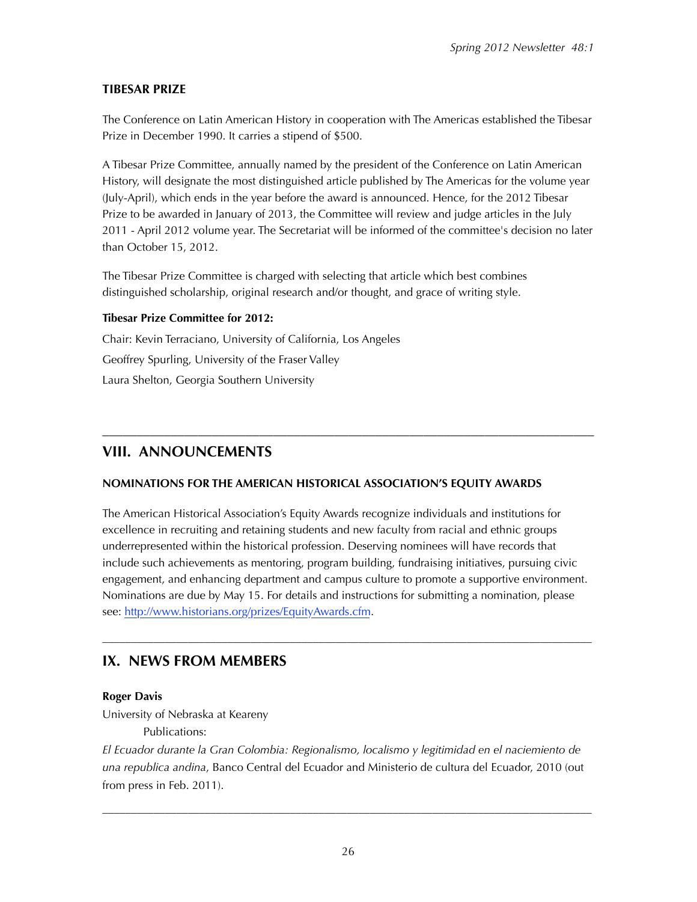# **TIBESAR PRIZE**

The Conference on Latin American History in cooperation with The Americas established the Tibesar Prize in December 1990. It carries a stipend of \$500.

A Tibesar Prize Committee, annually named by the president of the Conference on Latin American History, will designate the most distinguished article published by The Americas for the volume year (July-April), which ends in the year before the award is announced. Hence, for the 2012 Tibesar Prize to be awarded in January of 2013, the Committee will review and judge articles in the July 2011 - April 2012 volume year. The Secretariat will be informed of the committee's decision no later than October 15, 2012.

The Tibesar Prize Committee is charged with selecting that article which best combines distinguished scholarship, original research and/or thought, and grace of writing style.

# **Tibesar Prize Committee for 2012:**

Chair: Kevin Terraciano, University of California, Los Angeles Geoffrey Spurling, University of the Fraser Valley Laura Shelton, Georgia Southern University

# –––––––––––––––––––––––––––––––––––––––––––––––––––––––––––––––––––––––– **VIII. ANNOUNCEMENTS**

# **NOMINATIONS FOR THE AMERICAN HISTORICAL ASSOCIATION'S EQUITY AWARDS**

The American Historical Association's Equity Awards recognize individuals and institutions for excellence in recruiting and retaining students and new faculty from racial and ethnic groups underrepresented within the historical profession. Deserving nominees will have records that include such achievements as mentoring, program building, fundraising initiatives, pursuing civic engagement, and enhancing department and campus culture to promote a supportive environment. Nominations are due by May 15. For details and instructions for submitting a nomination, please see: [http://www.historians.org/prizes/EquityAwards.cfm.](http://www.historians.org/prizes/EquityAwards.cfm)

––––––––––––––––––––––––––––––––––––––––––––––––––––––––––––––––––––––––––––––––––––––

# **IX. NEWS FROM MEMBERS**

# **Roger Davis**

University of Nebraska at Keareny

Publications:

*El Ecuador durante la Gran Colombia: Regionalismo, localismo y legitimidad en el naciemiento de una republica andina*, Banco Central del Ecuador and Ministerio de cultura del Ecuador, 2010 (out from press in Feb. 2011).

––––––––––––––––––––––––––––––––––––––––––––––––––––––––––––––––––––––––––––––––––––––